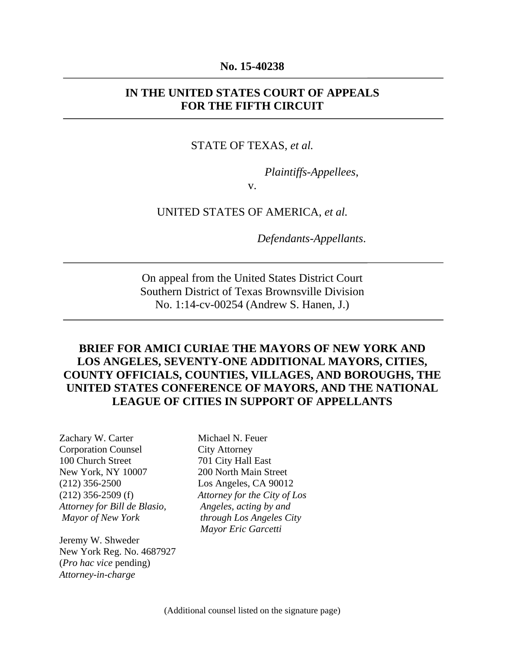#### **No. 15-40238**

#### **IN THE UNITED STATES COURT OF APPEALS FOR THE FIFTH CIRCUIT**

#### STATE OF TEXAS, *et al.*

*Plaintiffs-Appellees*,

v.

#### UNITED STATES OF AMERICA, *et al.*

*Defendants-Appellants*.

On appeal from the United States District Court Southern District of Texas Brownsville Division No. 1:14-cv-00254 (Andrew S. Hanen, J.)

### **BRIEF FOR AMICI CURIAE THE MAYORS OF NEW YORK AND LOS ANGELES, SEVENTY-ONE ADDITIONAL MAYORS, CITIES, COUNTY OFFICIALS, COUNTIES, VILLAGES, AND BOROUGHS, THE UNITED STATES CONFERENCE OF MAYORS, AND THE NATIONAL LEAGUE OF CITIES IN SUPPORT OF APPELLANTS**

Zachary W. Carter Corporation Counsel 100 Church Street New York, NY 10007 (212) 356-2500 (212) 356-2509 (f) *Attorney for Bill de Blasio, Mayor of New York* 

Jeremy W. Shweder New York Reg. No. 4687927 (*Pro hac vice* pending) *Attorney-in-charge* 

Michael N. Feuer City Attorney 701 City Hall East 200 North Main Street Los Angeles, CA 90012 *Attorney for the City of Los Angeles, acting by and through Los Angeles City Mayor Eric Garcetti*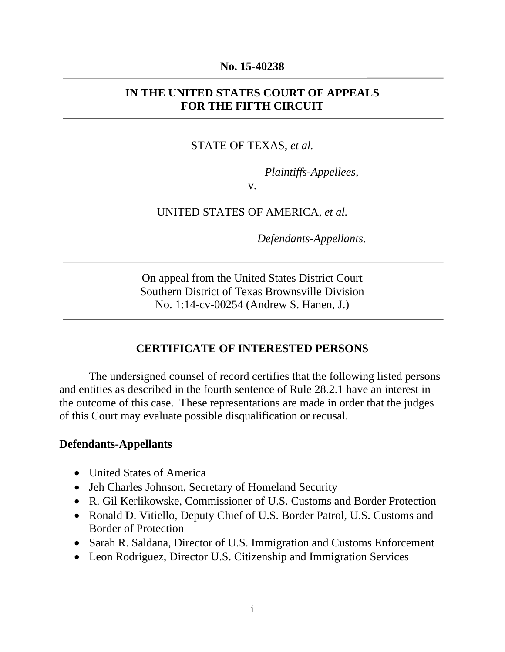#### **No. 15-40238**

### **IN THE UNITED STATES COURT OF APPEALS FOR THE FIFTH CIRCUIT**

#### STATE OF TEXAS, *et al.*

*Plaintiffs-Appellees*,

v.

UNITED STATES OF AMERICA, *et al.*

*Defendants-Appellants*.

On appeal from the United States District Court Southern District of Texas Brownsville Division No. 1:14-cv-00254 (Andrew S. Hanen, J.)

#### **CERTIFICATE OF INTERESTED PERSONS**

The undersigned counsel of record certifies that the following listed persons and entities as described in the fourth sentence of Rule 28.2.1 have an interest in the outcome of this case. These representations are made in order that the judges of this Court may evaluate possible disqualification or recusal.

#### **Defendants-Appellants**

- United States of America
- Jeh Charles Johnson, Secretary of Homeland Security
- R. Gil Kerlikowske, Commissioner of U.S. Customs and Border Protection
- Ronald D. Vitiello, Deputy Chief of U.S. Border Patrol, U.S. Customs and Border of Protection
- Sarah R. Saldana, Director of U.S. Immigration and Customs Enforcement
- Leon Rodriguez, Director U.S. Citizenship and Immigration Services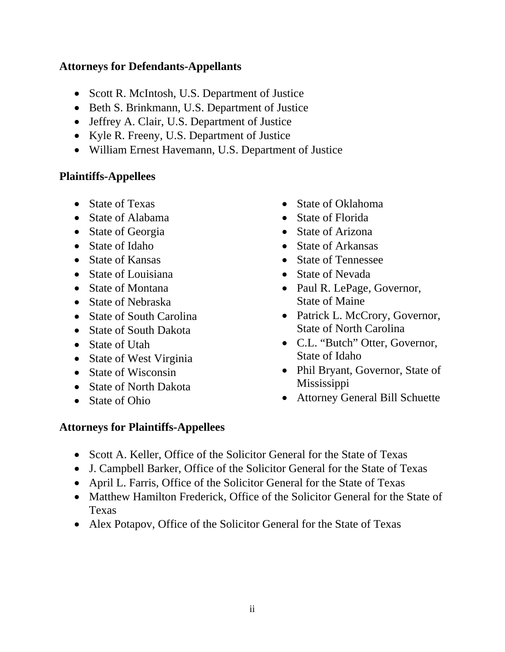### **Attorneys for Defendants-Appellants**

- Scott R. McIntosh, U.S. Department of Justice
- Beth S. Brinkmann, U.S. Department of Justice
- Jeffrey A. Clair, U.S. Department of Justice
- Kyle R. Freeny, U.S. Department of Justice
- William Ernest Havemann, U.S. Department of Justice

# **Plaintiffs-Appellees**

- State of Texas
- State of Alabama
- State of Georgia
- State of Idaho
- State of Kansas
- State of Louisiana
- State of Montana
- State of Nebraska
- State of South Carolina
- State of South Dakota
- State of Utah
- State of West Virginia
- State of Wisconsin
- State of North Dakota
- State of Ohio
- State of Oklahoma
- State of Florida
- State of Arizona
- State of Arkansas
- State of Tennessee
- State of Nevada
- Paul R. LePage, Governor, State of Maine
- Patrick L. McCrory, Governor, State of North Carolina
- C.L. "Butch" Otter, Governor, State of Idaho
- Phil Bryant, Governor, State of Mississippi
- Attorney General Bill Schuette

# **Attorneys for Plaintiffs-Appellees**

- Scott A. Keller, Office of the Solicitor General for the State of Texas
- J. Campbell Barker, Office of the Solicitor General for the State of Texas
- April L. Farris, Office of the Solicitor General for the State of Texas
- Matthew Hamilton Frederick, Office of the Solicitor General for the State of Texas
- Alex Potapov, Office of the Solicitor General for the State of Texas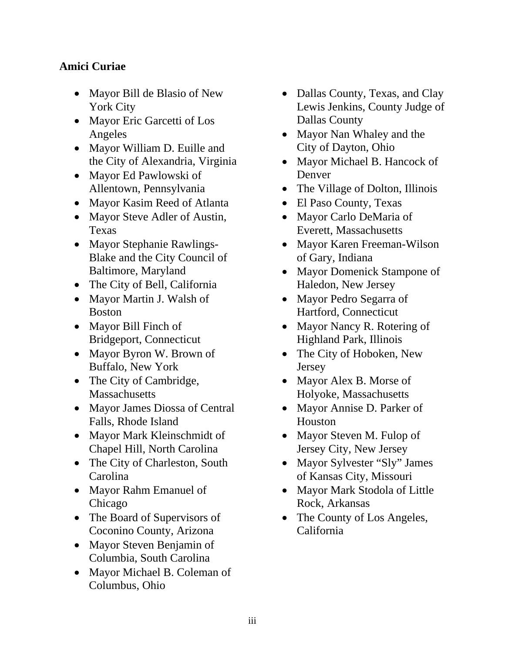# **Amici Curiae**

- Mayor Bill de Blasio of New York City
- Mayor Eric Garcetti of Los Angeles
- Mayor William D. Euille and the City of Alexandria, Virginia
- Mayor Ed Pawlowski of Allentown, Pennsylvania
- Mayor Kasim Reed of Atlanta
- Mayor Steve Adler of Austin, Texas
- Mayor Stephanie Rawlings-Blake and the City Council of Baltimore, Maryland
- The City of Bell, California
- Mayor Martin J. Walsh of Boston
- Mayor Bill Finch of Bridgeport, Connecticut
- Mayor Byron W. Brown of Buffalo, New York
- The City of Cambridge, **Massachusetts**
- Mayor James Diossa of Central Falls, Rhode Island
- Mayor Mark Kleinschmidt of Chapel Hill, North Carolina
- The City of Charleston, South Carolina
- Mayor Rahm Emanuel of Chicago
- The Board of Supervisors of Coconino County, Arizona
- Mayor Steven Benjamin of Columbia, South Carolina
- Mayor Michael B. Coleman of Columbus, Ohio
- Dallas County, Texas, and Clay Lewis Jenkins, County Judge of Dallas County
- Mayor Nan Whaley and the City of Dayton, Ohio
- Mayor Michael B. Hancock of Denver
- The Village of Dolton, Illinois
- El Paso County, Texas
- Mayor Carlo DeMaria of Everett, Massachusetts
- Mayor Karen Freeman-Wilson of Gary, Indiana
- Mayor Domenick Stampone of Haledon, New Jersey
- Mayor Pedro Segarra of Hartford, Connecticut
- Mayor Nancy R. Rotering of Highland Park, Illinois
- The City of Hoboken, New Jersey
- Mayor Alex B. Morse of Holyoke, Massachusetts
- Mayor Annise D. Parker of Houston
- Mayor Steven M. Fulop of Jersey City, New Jersey
- Mayor Sylvester "Sly" James of Kansas City, Missouri
- Mayor Mark Stodola of Little Rock, Arkansas
- The County of Los Angeles, California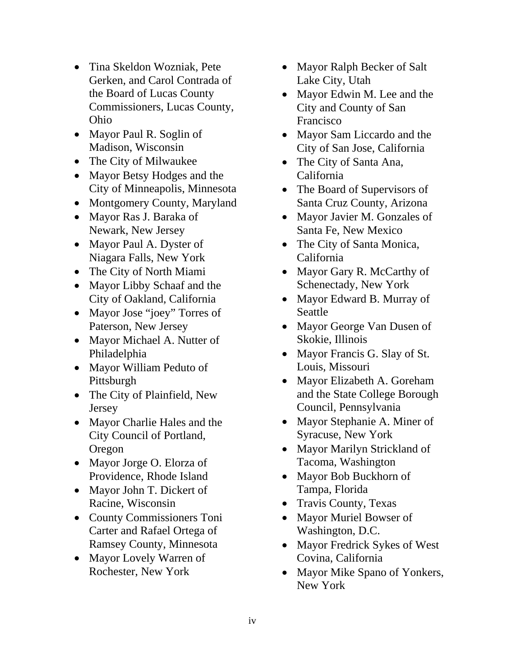- Tina Skeldon Wozniak, Pete Gerken, and Carol Contrada of the Board of Lucas County Commissioners, Lucas County, Ohio
- Mayor Paul R. Soglin of Madison, Wisconsin
- The City of Milwaukee
- Mayor Betsy Hodges and the City of Minneapolis, Minnesota
- Montgomery County, Maryland
- Mayor Ras J. Baraka of Newark, New Jersey
- Mayor Paul A. Dyster of Niagara Falls, New York
- The City of North Miami
- Mayor Libby Schaaf and the City of Oakland, California
- Mayor Jose "joey" Torres of Paterson, New Jersey
- Mayor Michael A. Nutter of Philadelphia
- Mayor William Peduto of Pittsburgh
- The City of Plainfield, New Jersey
- Mayor Charlie Hales and the City Council of Portland, Oregon
- Mayor Jorge O. Elorza of Providence, Rhode Island
- Mayor John T. Dickert of Racine, Wisconsin
- County Commissioners Toni Carter and Rafael Ortega of Ramsey County, Minnesota
- Mayor Lovely Warren of Rochester, New York
- Mayor Ralph Becker of Salt Lake City, Utah
- Mayor Edwin M. Lee and the City and County of San Francisco
- Mayor Sam Liccardo and the City of San Jose, California
- The City of Santa Ana, California
- The Board of Supervisors of Santa Cruz County, Arizona
- Mayor Javier M. Gonzales of Santa Fe, New Mexico
- The City of Santa Monica, California
- Mayor Gary R. McCarthy of Schenectady, New York
- Mayor Edward B. Murray of Seattle
- Mayor George Van Dusen of Skokie, Illinois
- Mayor Francis G. Slay of St. Louis, Missouri
- Mayor Elizabeth A. Goreham and the State College Borough Council, Pennsylvania
- Mayor Stephanie A. Miner of Syracuse, New York
- Mayor Marilyn Strickland of Tacoma, Washington
- Mayor Bob Buckhorn of Tampa, Florida
- Travis County, Texas
- Mayor Muriel Bowser of Washington, D.C.
- Mayor Fredrick Sykes of West Covina, California
- Mayor Mike Spano of Yonkers, New York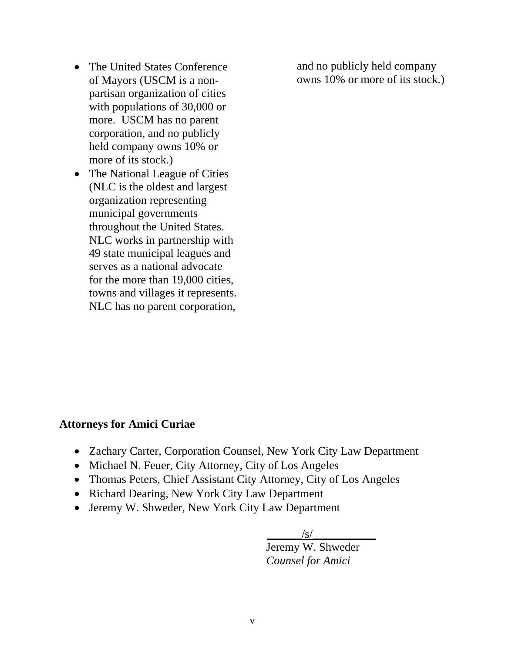- The United States Conference of Mayors (USCM is a nonpartisan organization of cities with populations of 30,000 or more. USCM has no parent corporation, and no publicly held company owns 10% or more of its stock.)
- The National League of Cities (NLC is the oldest and largest organization representing municipal governments throughout the United States. NLC works in partnership with 49 state municipal leagues and serves as a national advocate for the more than 19,000 cities, towns and villages it represents. NLC has no parent corporation,

and no publicly held company owns 10% or more of its stock.)

### **Attorneys for Amici Curiae**

- Zachary Carter, Corporation Counsel, New York City Law Department
- Michael N. Feuer, City Attorney, City of Los Angeles
- Thomas Peters, Chief Assistant City Attorney, City of Los Angeles
- Richard Dearing, New York City Law Department
- Jeremy W. Shweder, New York City Law Department

 $/S/$ 

 Jeremy W. Shweder *Counsel for Amici*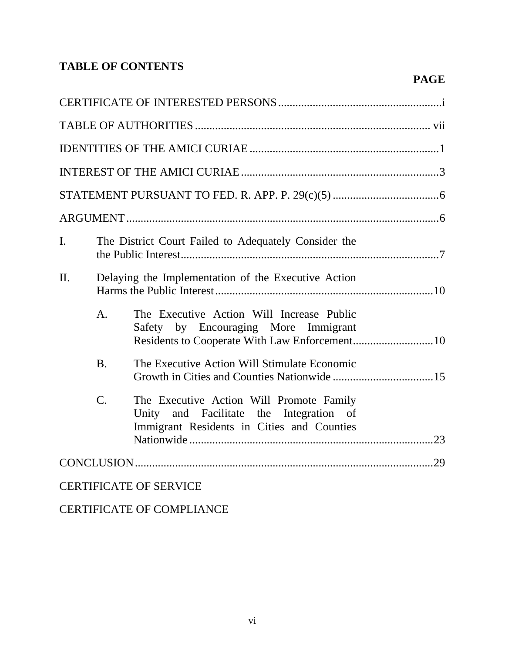# **TABLE OF CONTENTS**

| I.      |                 | The District Court Failed to Adequately Consider the                                                                               |  |  |  |
|---------|-----------------|------------------------------------------------------------------------------------------------------------------------------------|--|--|--|
| $\Pi$ . |                 | Delaying the Implementation of the Executive Action                                                                                |  |  |  |
|         | A <sub>1</sub>  | The Executive Action Will Increase Public<br>Safety by Encouraging More Immigrant<br>Residents to Cooperate With Law Enforcement10 |  |  |  |
|         | <b>B.</b>       | The Executive Action Will Stimulate Economic                                                                                       |  |  |  |
|         | $\mathcal{C}$ . | The Executive Action Will Promote Family<br>Unity and Facilitate the Integration of<br>Immigrant Residents in Cities and Counties  |  |  |  |
|         |                 |                                                                                                                                    |  |  |  |
|         |                 | <b>CERTIFICATE OF SERVICE</b>                                                                                                      |  |  |  |

 **PAGE** 

CERTIFICATE OF COMPLIANCE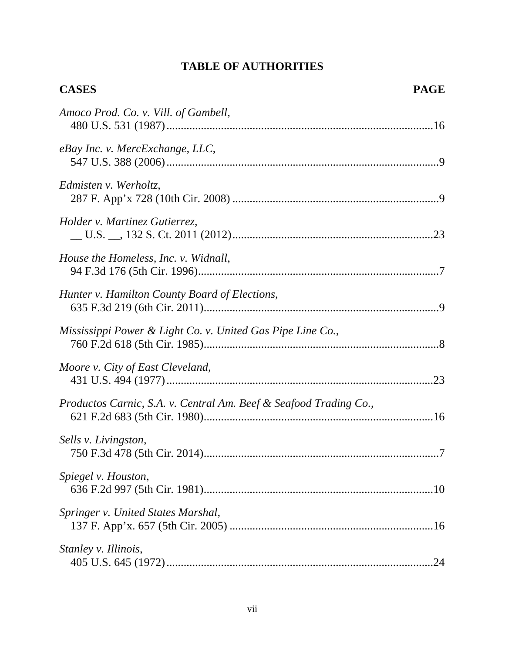# **TABLE OF AUTHORITIES**

| <b>CASES</b>                                                      | <b>PAGE</b> |
|-------------------------------------------------------------------|-------------|
| Amoco Prod. Co. v. Vill. of Gambell,                              |             |
| eBay Inc. v. MercExchange, LLC,                                   |             |
| Edmisten v. Werholtz,                                             |             |
| Holder v. Martinez Gutierrez,                                     |             |
| House the Homeless, Inc. v. Widnall,                              |             |
| Hunter v. Hamilton County Board of Elections,                     |             |
| Mississippi Power & Light Co. v. United Gas Pipe Line Co.,        |             |
| Moore v. City of East Cleveland,                                  |             |
| Productos Carnic, S.A. v. Central Am. Beef & Seafood Trading Co., |             |
| Sells v. Livingston,                                              |             |
| Spiegel v. Houston,                                               |             |
| Springer v. United States Marshal,                                |             |
| Stanley v. Illinois,                                              |             |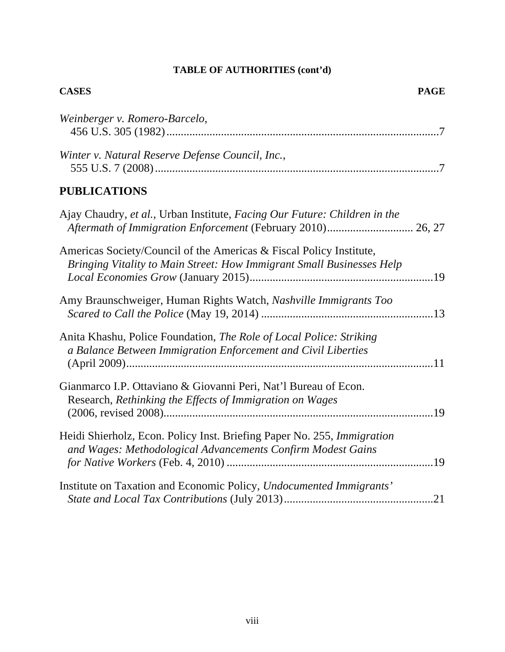| <b>PAGE</b><br><b>CASES</b>                                                                                                                   |  |
|-----------------------------------------------------------------------------------------------------------------------------------------------|--|
| Weinberger v. Romero-Barcelo,                                                                                                                 |  |
| Winter v. Natural Reserve Defense Council, Inc.,                                                                                              |  |
| <b>PUBLICATIONS</b>                                                                                                                           |  |
| Ajay Chaudry, et al., Urban Institute, Facing Our Future: Children in the                                                                     |  |
| Americas Society/Council of the Americas & Fiscal Policy Institute,<br>Bringing Vitality to Main Street: How Immigrant Small Businesses Help  |  |
| Amy Braunschweiger, Human Rights Watch, Nashville Immigrants Too                                                                              |  |
| Anita Khashu, Police Foundation, The Role of Local Police: Striking<br>a Balance Between Immigration Enforcement and Civil Liberties          |  |
| Gianmarco I.P. Ottaviano & Giovanni Peri, Nat'l Bureau of Econ.<br>Research, Rethinking the Effects of Immigration on Wages                   |  |
| Heidi Shierholz, Econ. Policy Inst. Briefing Paper No. 255, <i>Immigration</i><br>and Wages: Methodological Advancements Confirm Modest Gains |  |
| Institute on Taxation and Economic Policy, Undocumented Immigrants'                                                                           |  |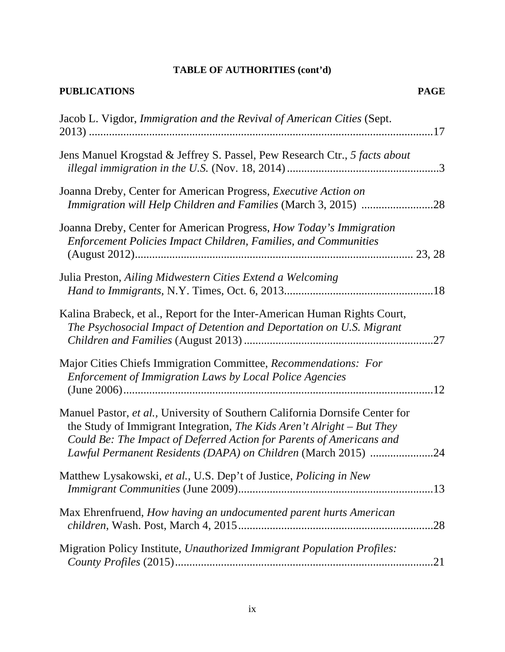| <b>PUBLICATIONS</b>                                                                                                                                                                                                                                                                             | <b>PAGE</b> |
|-------------------------------------------------------------------------------------------------------------------------------------------------------------------------------------------------------------------------------------------------------------------------------------------------|-------------|
| Jacob L. Vigdor, Immigration and the Revival of American Cities (Sept.                                                                                                                                                                                                                          |             |
| Jens Manuel Krogstad & Jeffrey S. Passel, Pew Research Ctr., 5 facts about                                                                                                                                                                                                                      |             |
| Joanna Dreby, Center for American Progress, Executive Action on                                                                                                                                                                                                                                 |             |
| Joanna Dreby, Center for American Progress, How Today's Immigration<br><b>Enforcement Policies Impact Children, Families, and Communities</b>                                                                                                                                                   |             |
| Julia Preston, Ailing Midwestern Cities Extend a Welcoming                                                                                                                                                                                                                                      |             |
| Kalina Brabeck, et al., Report for the Inter-American Human Rights Court,<br>The Psychosocial Impact of Detention and Deportation on U.S. Migrant                                                                                                                                               |             |
| Major Cities Chiefs Immigration Committee, Recommendations: For<br><b>Enforcement of Immigration Laws by Local Police Agencies</b>                                                                                                                                                              | .12         |
| Manuel Pastor, et al., University of Southern California Dornsife Center for<br>the Study of Immigrant Integration, The Kids Aren't Alright – But They<br>Could Be: The Impact of Deferred Action for Parents of Americans and<br>Lawful Permanent Residents (DAPA) on Children (March 2015) 24 |             |
| Matthew Lysakowski, et al., U.S. Dep't of Justice, Policing in New                                                                                                                                                                                                                              |             |
| Max Ehrenfruend, How having an undocumented parent hurts American                                                                                                                                                                                                                               |             |
| Migration Policy Institute, Unauthorized Immigrant Population Profiles:                                                                                                                                                                                                                         |             |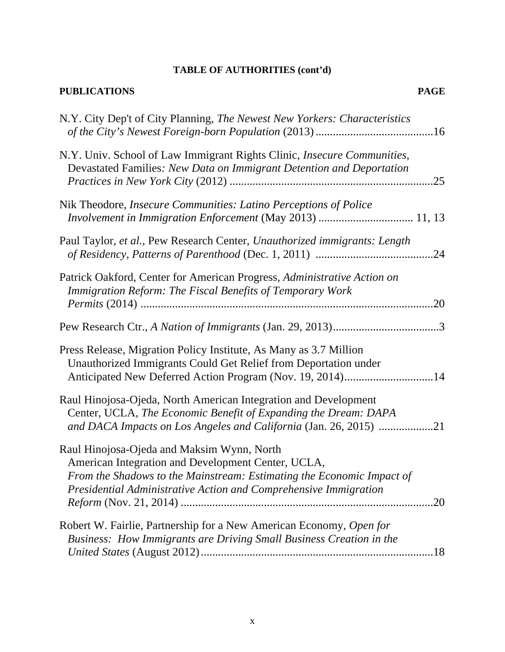| <b>PUBLICATIONS</b><br><b>PAGE</b>                                                                                                                                                                                                                   |
|------------------------------------------------------------------------------------------------------------------------------------------------------------------------------------------------------------------------------------------------------|
| N.Y. City Dep't of City Planning, The Newest New Yorkers: Characteristics                                                                                                                                                                            |
| N.Y. Univ. School of Law Immigrant Rights Clinic, <i>Insecure Communities</i> ,<br>Devastated Families: New Data on Immigrant Detention and Deportation<br>.25                                                                                       |
| Nik Theodore, Insecure Communities: Latino Perceptions of Police                                                                                                                                                                                     |
| Paul Taylor, et al., Pew Research Center, Unauthorized immigrants: Length                                                                                                                                                                            |
| Patrick Oakford, Center for American Progress, Administrative Action on<br>Immigration Reform: The Fiscal Benefits of Temporary Work<br>.20                                                                                                          |
|                                                                                                                                                                                                                                                      |
| Press Release, Migration Policy Institute, As Many as 3.7 Million<br>Unauthorized Immigrants Could Get Relief from Deportation under<br>Anticipated New Deferred Action Program (Nov. 19, 2014)14                                                    |
| Raul Hinojosa-Ojeda, North American Integration and Development<br>Center, UCLA, The Economic Benefit of Expanding the Dream: DAPA<br>and DACA Impacts on Los Angeles and California (Jan. 26, 2015) 21                                              |
| Raul Hinojosa-Ojeda and Maksim Wynn, North<br>American Integration and Development Center, UCLA,<br>From the Shadows to the Mainstream: Estimating the Economic Impact of<br>Presidential Administrative Action and Comprehensive Immigration<br>.20 |
| Robert W. Fairlie, Partnership for a New American Economy, Open for<br>Business: How Immigrants are Driving Small Business Creation in the<br>.18                                                                                                    |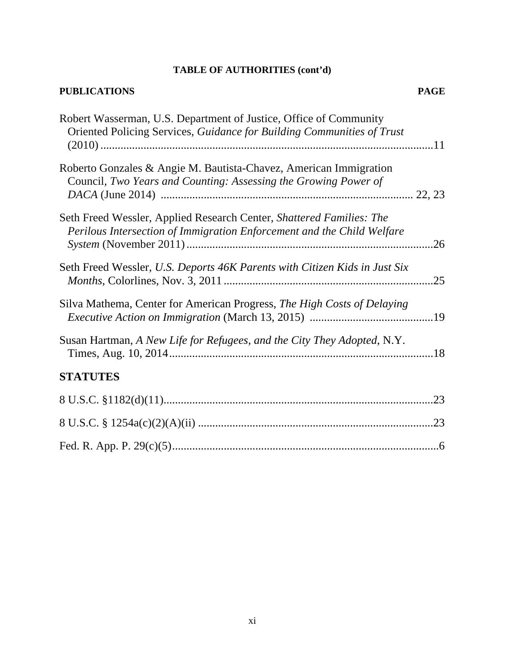#### **PUBLICATIONS PAGE**

| Robert Wasserman, U.S. Department of Justice, Office of Community<br>Oriented Policing Services, Guidance for Building Communities of Trust    |     |
|------------------------------------------------------------------------------------------------------------------------------------------------|-----|
| Roberto Gonzales & Angie M. Bautista-Chavez, American Immigration<br>Council, Two Years and Counting: Assessing the Growing Power of           |     |
| Seth Freed Wessler, Applied Research Center, Shattered Families: The<br>Perilous Intersection of Immigration Enforcement and the Child Welfare | .26 |
| Seth Freed Wessler, U.S. Deports 46K Parents with Citizen Kids in Just Six                                                                     | .25 |
| Silva Mathema, Center for American Progress, The High Costs of Delaying                                                                        |     |
| Susan Hartman, A New Life for Refugees, and the City They Adopted, N.Y.                                                                        |     |
| <b>STATUTES</b>                                                                                                                                |     |
|                                                                                                                                                |     |
|                                                                                                                                                | .23 |
|                                                                                                                                                |     |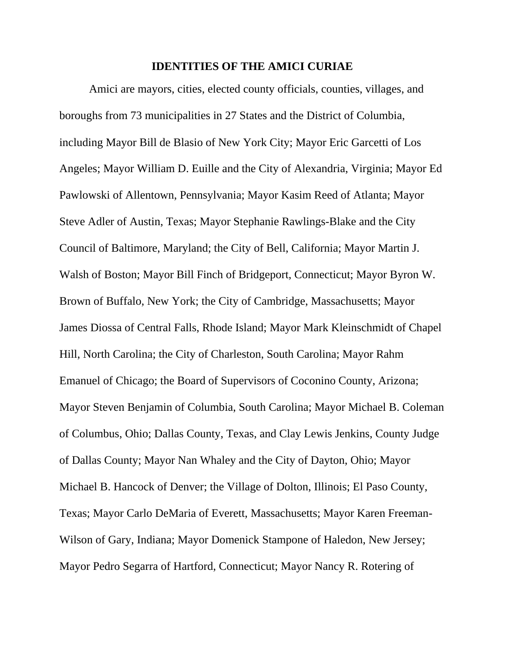#### **IDENTITIES OF THE AMICI CURIAE**

Amici are mayors, cities, elected county officials, counties, villages, and boroughs from 73 municipalities in 27 States and the District of Columbia, including Mayor Bill de Blasio of New York City; Mayor Eric Garcetti of Los Angeles; Mayor William D. Euille and the City of Alexandria, Virginia; Mayor Ed Pawlowski of Allentown, Pennsylvania; Mayor Kasim Reed of Atlanta; Mayor Steve Adler of Austin, Texas; Mayor Stephanie Rawlings-Blake and the City Council of Baltimore, Maryland; the City of Bell, California; Mayor Martin J. Walsh of Boston; Mayor Bill Finch of Bridgeport, Connecticut; Mayor Byron W. Brown of Buffalo, New York; the City of Cambridge, Massachusetts; Mayor James Diossa of Central Falls, Rhode Island; Mayor Mark Kleinschmidt of Chapel Hill, North Carolina; the City of Charleston, South Carolina; Mayor Rahm Emanuel of Chicago; the Board of Supervisors of Coconino County, Arizona; Mayor Steven Benjamin of Columbia, South Carolina; Mayor Michael B. Coleman of Columbus, Ohio; Dallas County, Texas, and Clay Lewis Jenkins, County Judge of Dallas County; Mayor Nan Whaley and the City of Dayton, Ohio; Mayor Michael B. Hancock of Denver; the Village of Dolton, Illinois; El Paso County, Texas; Mayor Carlo DeMaria of Everett, Massachusetts; Mayor Karen Freeman-Wilson of Gary, Indiana; Mayor Domenick Stampone of Haledon, New Jersey; Mayor Pedro Segarra of Hartford, Connecticut; Mayor Nancy R. Rotering of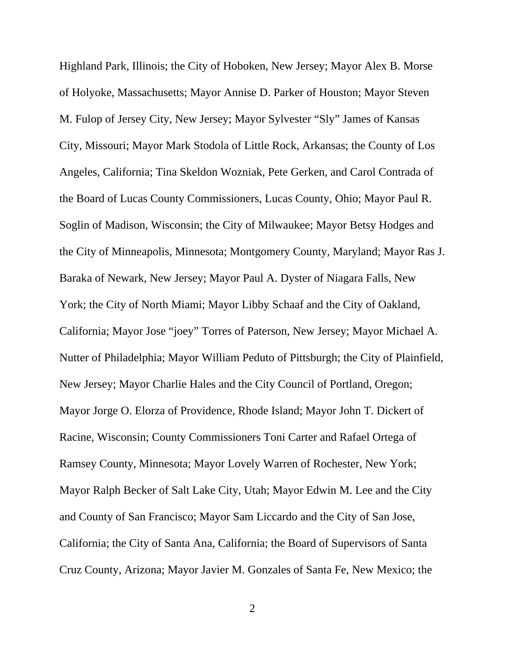Highland Park, Illinois; the City of Hoboken, New Jersey; Mayor Alex B. Morse of Holyoke, Massachusetts; Mayor Annise D. Parker of Houston; Mayor Steven M. Fulop of Jersey City, New Jersey; Mayor Sylvester "Sly" James of Kansas City, Missouri; Mayor Mark Stodola of Little Rock, Arkansas; the County of Los Angeles, California; Tina Skeldon Wozniak, Pete Gerken, and Carol Contrada of the Board of Lucas County Commissioners, Lucas County, Ohio; Mayor Paul R. Soglin of Madison, Wisconsin; the City of Milwaukee; Mayor Betsy Hodges and the City of Minneapolis, Minnesota; Montgomery County, Maryland; Mayor Ras J. Baraka of Newark, New Jersey; Mayor Paul A. Dyster of Niagara Falls, New York; the City of North Miami; Mayor Libby Schaaf and the City of Oakland, California; Mayor Jose "joey" Torres of Paterson, New Jersey; Mayor Michael A. Nutter of Philadelphia; Mayor William Peduto of Pittsburgh; the City of Plainfield, New Jersey; Mayor Charlie Hales and the City Council of Portland, Oregon; Mayor Jorge O. Elorza of Providence, Rhode Island; Mayor John T. Dickert of Racine, Wisconsin; County Commissioners Toni Carter and Rafael Ortega of Ramsey County, Minnesota; Mayor Lovely Warren of Rochester, New York; Mayor Ralph Becker of Salt Lake City, Utah; Mayor Edwin M. Lee and the City and County of San Francisco; Mayor Sam Liccardo and the City of San Jose, California; the City of Santa Ana, California; the Board of Supervisors of Santa Cruz County, Arizona; Mayor Javier M. Gonzales of Santa Fe, New Mexico; the

2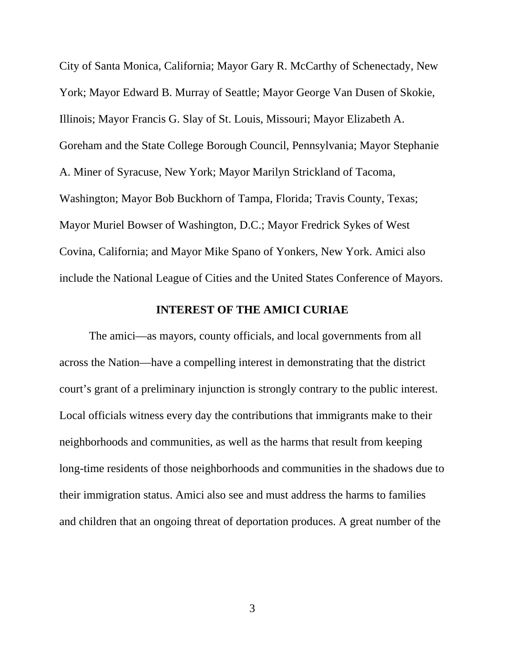City of Santa Monica, California; Mayor Gary R. McCarthy of Schenectady, New York; Mayor Edward B. Murray of Seattle; Mayor George Van Dusen of Skokie, Illinois; Mayor Francis G. Slay of St. Louis, Missouri; Mayor Elizabeth A. Goreham and the State College Borough Council, Pennsylvania; Mayor Stephanie A. Miner of Syracuse, New York; Mayor Marilyn Strickland of Tacoma, Washington; Mayor Bob Buckhorn of Tampa, Florida; Travis County, Texas; Mayor Muriel Bowser of Washington, D.C.; Mayor Fredrick Sykes of West Covina, California; and Mayor Mike Spano of Yonkers, New York. Amici also include the National League of Cities and the United States Conference of Mayors.

#### **INTEREST OF THE AMICI CURIAE**

The amici—as mayors, county officials, and local governments from all across the Nation—have a compelling interest in demonstrating that the district court's grant of a preliminary injunction is strongly contrary to the public interest. Local officials witness every day the contributions that immigrants make to their neighborhoods and communities, as well as the harms that result from keeping long-time residents of those neighborhoods and communities in the shadows due to their immigration status. Amici also see and must address the harms to families and children that an ongoing threat of deportation produces. A great number of the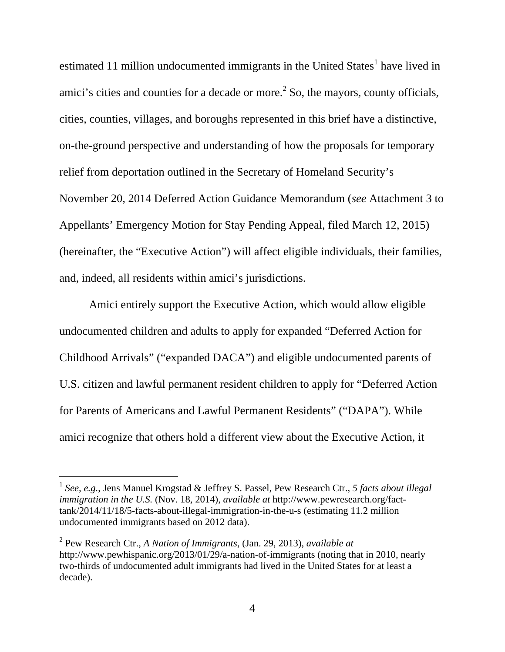estimated 11 million undocumented immigrants in the United States<sup>1</sup> have lived in amici's cities and counties for a decade or more. $<sup>2</sup>$  So, the mayors, county officials,</sup> cities, counties, villages, and boroughs represented in this brief have a distinctive, on-the-ground perspective and understanding of how the proposals for temporary relief from deportation outlined in the Secretary of Homeland Security's November 20, 2014 Deferred Action Guidance Memorandum (*see* Attachment 3 to Appellants' Emergency Motion for Stay Pending Appeal, filed March 12, 2015) (hereinafter, the "Executive Action") will affect eligible individuals, their families, and, indeed, all residents within amici's jurisdictions.

Amici entirely support the Executive Action, which would allow eligible undocumented children and adults to apply for expanded "Deferred Action for Childhood Arrivals" ("expanded DACA") and eligible undocumented parents of U.S. citizen and lawful permanent resident children to apply for "Deferred Action for Parents of Americans and Lawful Permanent Residents" ("DAPA"). While amici recognize that others hold a different view about the Executive Action, it

<sup>1</sup> *See, e.g.*, Jens Manuel Krogstad & Jeffrey S. Passel, Pew Research Ctr., *5 facts about illegal immigration in the U.S.* (Nov. 18, 2014), *available at* http://www.pewresearch.org/facttank/2014/11/18/5-facts-about-illegal-immigration-in-the-u-s (estimating 11.2 million undocumented immigrants based on 2012 data).

<sup>2</sup> Pew Research Ctr., *A Nation of Immigrants*, (Jan. 29, 2013), *available at* http://www.pewhispanic.org/2013/01/29/a-nation-of-immigrants (noting that in 2010, nearly two-thirds of undocumented adult immigrants had lived in the United States for at least a decade).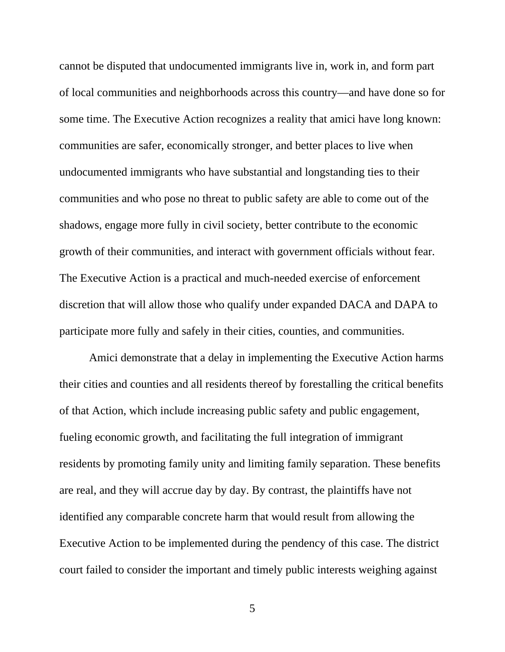cannot be disputed that undocumented immigrants live in, work in, and form part of local communities and neighborhoods across this country—and have done so for some time. The Executive Action recognizes a reality that amici have long known: communities are safer, economically stronger, and better places to live when undocumented immigrants who have substantial and longstanding ties to their communities and who pose no threat to public safety are able to come out of the shadows, engage more fully in civil society, better contribute to the economic growth of their communities, and interact with government officials without fear. The Executive Action is a practical and much-needed exercise of enforcement discretion that will allow those who qualify under expanded DACA and DAPA to participate more fully and safely in their cities, counties, and communities.

Amici demonstrate that a delay in implementing the Executive Action harms their cities and counties and all residents thereof by forestalling the critical benefits of that Action, which include increasing public safety and public engagement, fueling economic growth, and facilitating the full integration of immigrant residents by promoting family unity and limiting family separation. These benefits are real, and they will accrue day by day. By contrast, the plaintiffs have not identified any comparable concrete harm that would result from allowing the Executive Action to be implemented during the pendency of this case. The district court failed to consider the important and timely public interests weighing against

5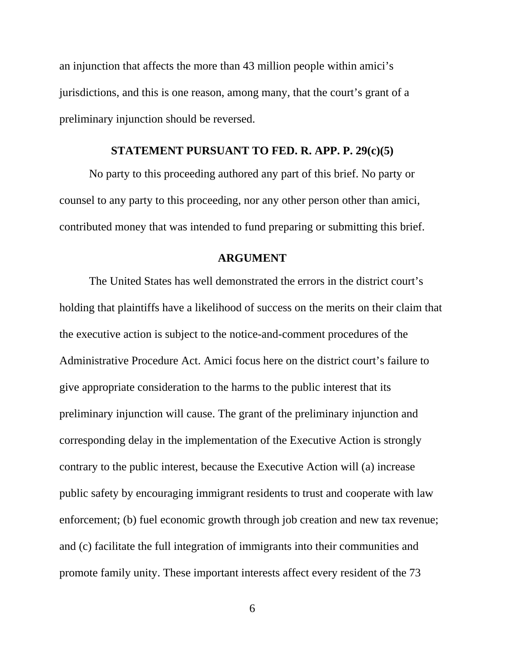an injunction that affects the more than 43 million people within amici's jurisdictions, and this is one reason, among many, that the court's grant of a preliminary injunction should be reversed.

#### **STATEMENT PURSUANT TO FED. R. APP. P. 29(c)(5)**

No party to this proceeding authored any part of this brief. No party or counsel to any party to this proceeding, nor any other person other than amici, contributed money that was intended to fund preparing or submitting this brief.

#### **ARGUMENT**

The United States has well demonstrated the errors in the district court's holding that plaintiffs have a likelihood of success on the merits on their claim that the executive action is subject to the notice-and-comment procedures of the Administrative Procedure Act. Amici focus here on the district court's failure to give appropriate consideration to the harms to the public interest that its preliminary injunction will cause. The grant of the preliminary injunction and corresponding delay in the implementation of the Executive Action is strongly contrary to the public interest, because the Executive Action will (a) increase public safety by encouraging immigrant residents to trust and cooperate with law enforcement; (b) fuel economic growth through job creation and new tax revenue; and (c) facilitate the full integration of immigrants into their communities and promote family unity. These important interests affect every resident of the 73

6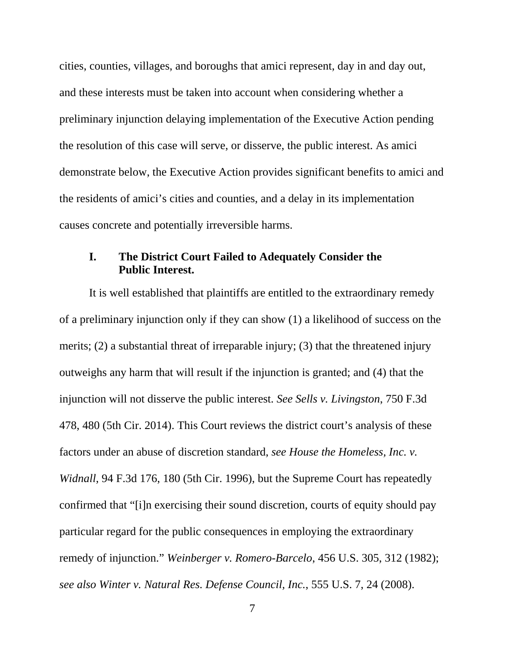cities, counties, villages, and boroughs that amici represent, day in and day out, and these interests must be taken into account when considering whether a preliminary injunction delaying implementation of the Executive Action pending the resolution of this case will serve, or disserve, the public interest. As amici demonstrate below, the Executive Action provides significant benefits to amici and the residents of amici's cities and counties, and a delay in its implementation causes concrete and potentially irreversible harms.

### **I. The District Court Failed to Adequately Consider the Public Interest.**

It is well established that plaintiffs are entitled to the extraordinary remedy of a preliminary injunction only if they can show (1) a likelihood of success on the merits; (2) a substantial threat of irreparable injury; (3) that the threatened injury outweighs any harm that will result if the injunction is granted; and (4) that the injunction will not disserve the public interest. *See Sells v. Livingston*, 750 F.3d 478, 480 (5th Cir. 2014). This Court reviews the district court's analysis of these factors under an abuse of discretion standard, *see House the Homeless, Inc. v. Widnall*, 94 F.3d 176, 180 (5th Cir. 1996), but the Supreme Court has repeatedly confirmed that "[i]n exercising their sound discretion, courts of equity should pay particular regard for the public consequences in employing the extraordinary remedy of injunction." *Weinberger v. Romero-Barcelo*, 456 U.S. 305, 312 (1982); *see also Winter v. Natural Res. Defense Council, Inc.*, 555 U.S. 7, 24 (2008).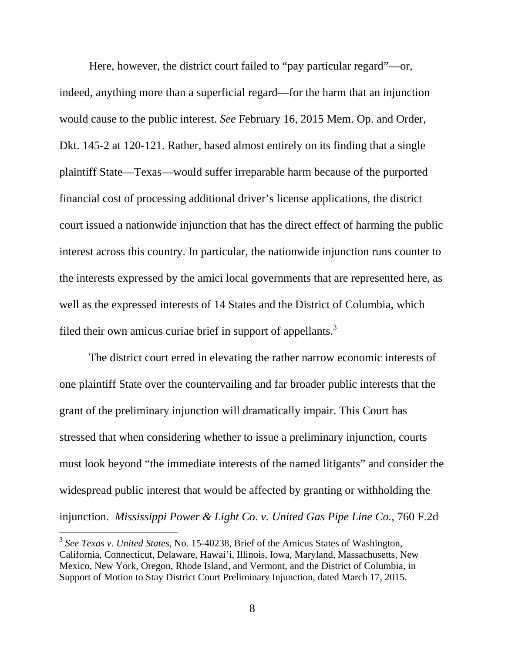Here, however, the district court failed to "pay particular regard"—or, indeed, anything more than a superficial regard—for the harm that an injunction would cause to the public interest. *See* February 16, 2015 Mem. Op. and Order, Dkt. 145-2 at 120-121. Rather, based almost entirely on its finding that a single plaintiff State—Texas—would suffer irreparable harm because of the purported financial cost of processing additional driver's license applications, the district court issued a nationwide injunction that has the direct effect of harming the public interest across this country. In particular, the nationwide injunction runs counter to the interests expressed by the amici local governments that are represented here, as well as the expressed interests of 14 States and the District of Columbia, which filed their own amicus curiae brief in support of appellants. $3$ 

The district court erred in elevating the rather narrow economic interests of one plaintiff State over the countervailing and far broader public interests that the grant of the preliminary injunction will dramatically impair. This Court has stressed that when considering whether to issue a preliminary injunction, courts must look beyond "the immediate interests of the named litigants" and consider the widespread public interest that would be affected by granting or withholding the injunction. *Mississippi Power & Light Co. v. United Gas Pipe Line Co.*, 760 F.2d

 $\overline{a}$ 

<sup>3</sup> *See Texas v. United States*, No. 15-40238, Brief of the Amicus States of Washington, California, Connecticut, Delaware, Hawai'i, Illinois, Iowa, Maryland, Massachusetts, New Mexico, New York, Oregon, Rhode Island, and Vermont, and the District of Columbia, in Support of Motion to Stay District Court Preliminary Injunction, dated March 17, 2015.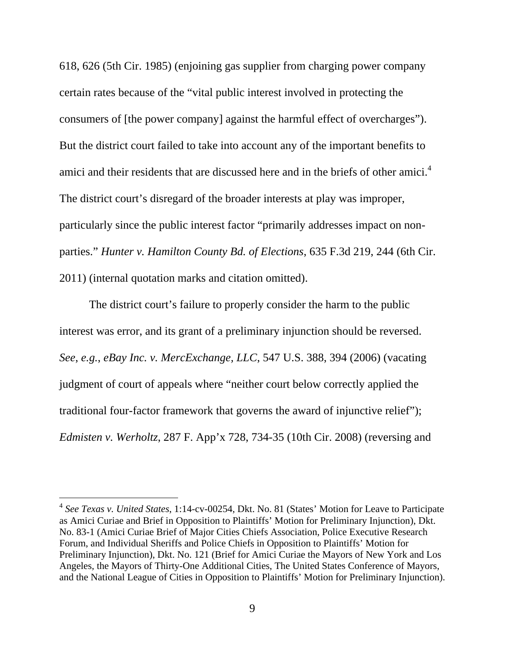618, 626 (5th Cir. 1985) (enjoining gas supplier from charging power company certain rates because of the "vital public interest involved in protecting the consumers of [the power company] against the harmful effect of overcharges"). But the district court failed to take into account any of the important benefits to amici and their residents that are discussed here and in the briefs of other amici.<sup>4</sup> The district court's disregard of the broader interests at play was improper, particularly since the public interest factor "primarily addresses impact on nonparties." *Hunter v. Hamilton County Bd. of Elections*, 635 F.3d 219, 244 (6th Cir. 2011) (internal quotation marks and citation omitted).

The district court's failure to properly consider the harm to the public interest was error, and its grant of a preliminary injunction should be reversed. *See*, *e.g.*, *eBay Inc. v. MercExchange, LLC*, 547 U.S. 388, 394 (2006) (vacating judgment of court of appeals where "neither court below correctly applied the traditional four-factor framework that governs the award of injunctive relief"); *Edmisten v. Werholtz*, 287 F. App'x 728, 734-35 (10th Cir. 2008) (reversing and

 $\overline{a}$ 

<sup>4</sup> *See Texas v. United States*, 1:14-cv-00254, Dkt. No. 81 (States' Motion for Leave to Participate as Amici Curiae and Brief in Opposition to Plaintiffs' Motion for Preliminary Injunction), Dkt. No. 83-1 (Amici Curiae Brief of Major Cities Chiefs Association, Police Executive Research Forum, and Individual Sheriffs and Police Chiefs in Opposition to Plaintiffs' Motion for Preliminary Injunction), Dkt. No. 121 (Brief for Amici Curiae the Mayors of New York and Los Angeles*,* the Mayors of Thirty-One Additional Cities, The United States Conference of Mayors, and the National League of Cities in Opposition to Plaintiffs' Motion for Preliminary Injunction).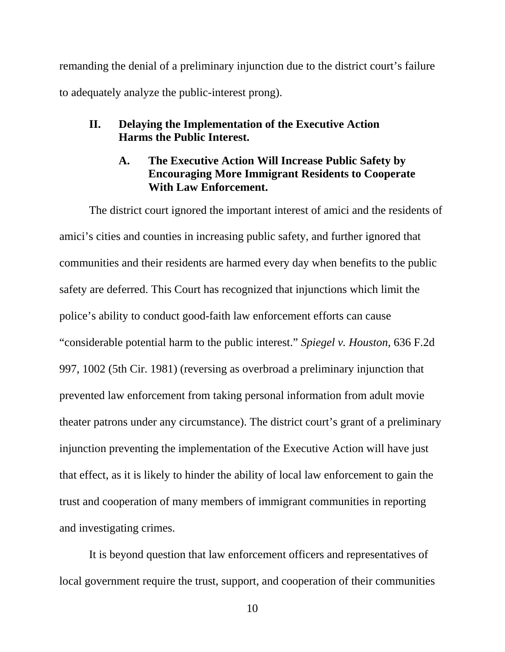remanding the denial of a preliminary injunction due to the district court's failure to adequately analyze the public-interest prong).

### **II. Delaying the Implementation of the Executive Action Harms the Public Interest.**

### **A. The Executive Action Will Increase Public Safety by Encouraging More Immigrant Residents to Cooperate With Law Enforcement.**

The district court ignored the important interest of amici and the residents of amici's cities and counties in increasing public safety, and further ignored that communities and their residents are harmed every day when benefits to the public safety are deferred. This Court has recognized that injunctions which limit the police's ability to conduct good-faith law enforcement efforts can cause "considerable potential harm to the public interest." *Spiegel v. Houston*, 636 F.2d 997, 1002 (5th Cir. 1981) (reversing as overbroad a preliminary injunction that prevented law enforcement from taking personal information from adult movie theater patrons under any circumstance). The district court's grant of a preliminary injunction preventing the implementation of the Executive Action will have just that effect, as it is likely to hinder the ability of local law enforcement to gain the trust and cooperation of many members of immigrant communities in reporting and investigating crimes.

It is beyond question that law enforcement officers and representatives of local government require the trust, support, and cooperation of their communities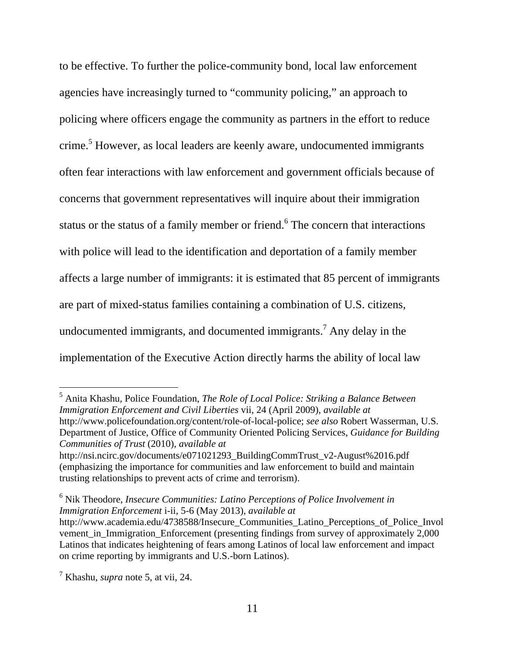to be effective. To further the police-community bond, local law enforcement agencies have increasingly turned to "community policing," an approach to policing where officers engage the community as partners in the effort to reduce crime.<sup>5</sup> However, as local leaders are keenly aware, undocumented immigrants often fear interactions with law enforcement and government officials because of concerns that government representatives will inquire about their immigration status or the status of a family member or friend.<sup>6</sup> The concern that interactions with police will lead to the identification and deportation of a family member affects a large number of immigrants: it is estimated that 85 percent of immigrants are part of mixed-status families containing a combination of U.S. citizens, undocumented immigrants, and documented immigrants.<sup>7</sup> Any delay in the implementation of the Executive Action directly harms the ability of local law

5 Anita Khashu, Police Foundation, *The Role of Local Police: Striking a Balance Between Immigration Enforcement and Civil Liberties* vii, 24 (April 2009), *available at* http://www.policefoundation.org/content/role-of-local-police; *see also* Robert Wasserman, U.S. Department of Justice, Office of Community Oriented Policing Services, *Guidance for Building Communities of Trust* (2010), *available at*

 $\overline{a}$ 

http://nsi.ncirc.gov/documents/e071021293\_BuildingCommTrust\_v2-August%2016.pdf (emphasizing the importance for communities and law enforcement to build and maintain trusting relationships to prevent acts of crime and terrorism).

<sup>&</sup>lt;sup>6</sup> Nik Theodore, *Insecure Communities: Latino Perceptions of Police Involvement in Immigration Enforcement* i-ii, 5-6 (May 2013), *available at*

http://www.academia.edu/4738588/Insecure\_Communities\_Latino\_Perceptions\_of\_Police\_Invol vement\_in\_Immigration\_Enforcement (presenting findings from survey of approximately 2,000 Latinos that indicates heightening of fears among Latinos of local law enforcement and impact on crime reporting by immigrants and U.S.-born Latinos).

<sup>7</sup> Khashu, *supra* note 5, at vii, 24.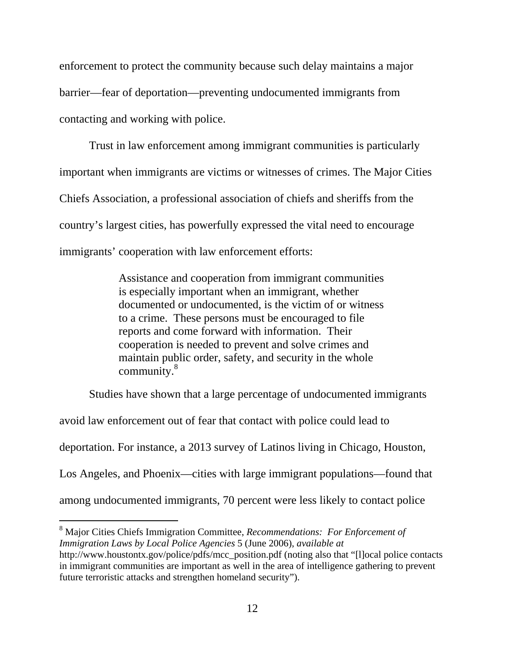enforcement to protect the community because such delay maintains a major barrier—fear of deportation—preventing undocumented immigrants from contacting and working with police.

Trust in law enforcement among immigrant communities is particularly important when immigrants are victims or witnesses of crimes. The Major Cities Chiefs Association, a professional association of chiefs and sheriffs from the country's largest cities, has powerfully expressed the vital need to encourage immigrants' cooperation with law enforcement efforts:

> Assistance and cooperation from immigrant communities is especially important when an immigrant, whether documented or undocumented, is the victim of or witness to a crime. These persons must be encouraged to file reports and come forward with information. Their cooperation is needed to prevent and solve crimes and maintain public order, safety, and security in the whole community.<sup>8</sup>

Studies have shown that a large percentage of undocumented immigrants

avoid law enforcement out of fear that contact with police could lead to deportation. For instance, a 2013 survey of Latinos living in Chicago, Houston, Los Angeles, and Phoenix—cities with large immigrant populations—found that among undocumented immigrants, 70 percent were less likely to contact police

<sup>8</sup> Major Cities Chiefs Immigration Committee, *Recommendations: For Enforcement of Immigration Laws by Local Police Agencies* 5 (June 2006), *available at* http://www.houstontx.gov/police/pdfs/mcc\_position.pdf (noting also that "[l]ocal police contacts in immigrant communities are important as well in the area of intelligence gathering to prevent

future terroristic attacks and strengthen homeland security").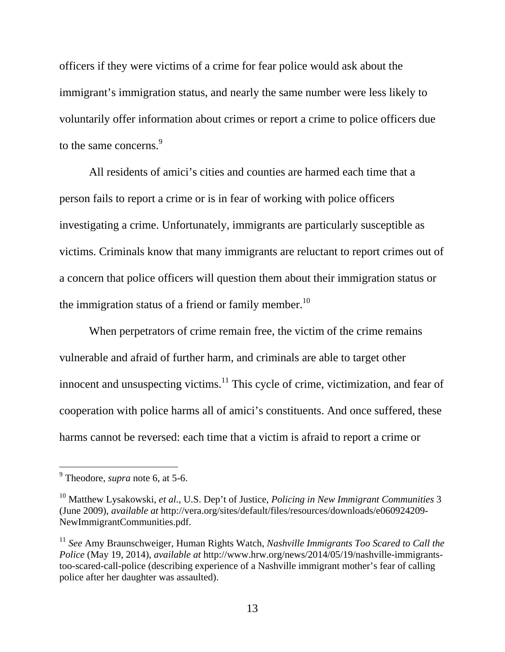officers if they were victims of a crime for fear police would ask about the immigrant's immigration status, and nearly the same number were less likely to voluntarily offer information about crimes or report a crime to police officers due to the same concerns.<sup>9</sup>

All residents of amici's cities and counties are harmed each time that a person fails to report a crime or is in fear of working with police officers investigating a crime. Unfortunately, immigrants are particularly susceptible as victims. Criminals know that many immigrants are reluctant to report crimes out of a concern that police officers will question them about their immigration status or the immigration status of a friend or family member.<sup>10</sup>

When perpetrators of crime remain free, the victim of the crime remains vulnerable and afraid of further harm, and criminals are able to target other innocent and unsuspecting victims.<sup>11</sup> This cycle of crime, victimization, and fear of cooperation with police harms all of amici's constituents. And once suffered, these harms cannot be reversed: each time that a victim is afraid to report a crime or

 9 Theodore, *supra* note 6, at 5-6.

<sup>10</sup> Matthew Lysakowski, *et al.*, U.S. Dep't of Justice, *Policing in New Immigrant Communities* 3 (June 2009), *available at* http://vera.org/sites/default/files/resources/downloads/e060924209- NewImmigrantCommunities.pdf.

<sup>11</sup> *See* Amy Braunschweiger, Human Rights Watch, *Nashville Immigrants Too Scared to Call the Police* (May 19, 2014), *available at* http://www.hrw.org/news/2014/05/19/nashville-immigrantstoo-scared-call-police (describing experience of a Nashville immigrant mother's fear of calling police after her daughter was assaulted).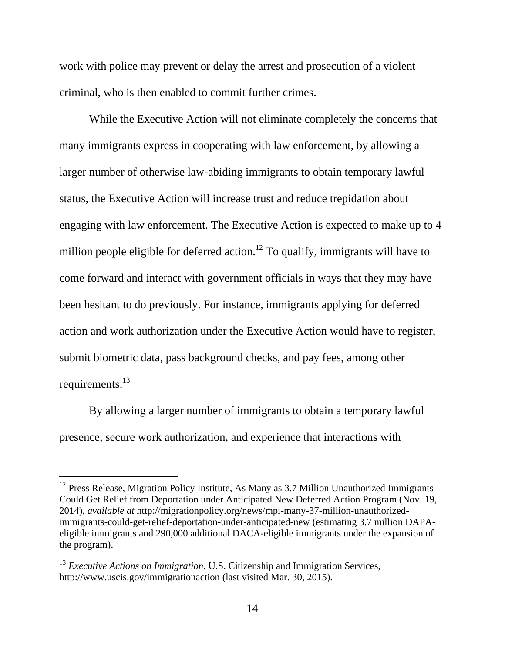work with police may prevent or delay the arrest and prosecution of a violent criminal, who is then enabled to commit further crimes.

While the Executive Action will not eliminate completely the concerns that many immigrants express in cooperating with law enforcement, by allowing a larger number of otherwise law-abiding immigrants to obtain temporary lawful status, the Executive Action will increase trust and reduce trepidation about engaging with law enforcement. The Executive Action is expected to make up to 4 million people eligible for deferred action.<sup>12</sup> To qualify, immigrants will have to come forward and interact with government officials in ways that they may have been hesitant to do previously. For instance, immigrants applying for deferred action and work authorization under the Executive Action would have to register, submit biometric data, pass background checks, and pay fees, among other requirements.<sup>13</sup>

By allowing a larger number of immigrants to obtain a temporary lawful presence, secure work authorization, and experience that interactions with

 $12$  Press Release, Migration Policy Institute, As Many as 3.7 Million Unauthorized Immigrants Could Get Relief from Deportation under Anticipated New Deferred Action Program (Nov. 19, 2014), *available at* http://migrationpolicy.org/news/mpi-many-37-million-unauthorizedimmigrants-could-get-relief-deportation-under-anticipated-new (estimating 3.7 million DAPAeligible immigrants and 290,000 additional DACA-eligible immigrants under the expansion of the program).

<sup>&</sup>lt;sup>13</sup> *Executive Actions on Immigration*, U.S. Citizenship and Immigration Services, http://www.uscis.gov/immigrationaction (last visited Mar. 30, 2015).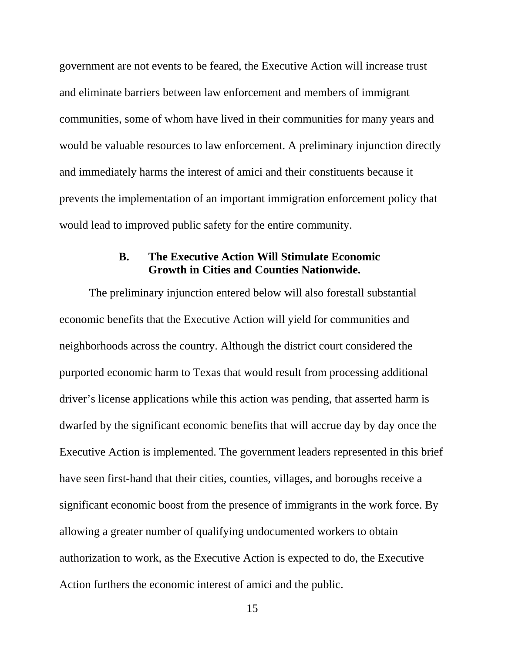government are not events to be feared, the Executive Action will increase trust and eliminate barriers between law enforcement and members of immigrant communities, some of whom have lived in their communities for many years and would be valuable resources to law enforcement. A preliminary injunction directly and immediately harms the interest of amici and their constituents because it prevents the implementation of an important immigration enforcement policy that would lead to improved public safety for the entire community.

#### **B. The Executive Action Will Stimulate Economic Growth in Cities and Counties Nationwide.**

The preliminary injunction entered below will also forestall substantial economic benefits that the Executive Action will yield for communities and neighborhoods across the country. Although the district court considered the purported economic harm to Texas that would result from processing additional driver's license applications while this action was pending, that asserted harm is dwarfed by the significant economic benefits that will accrue day by day once the Executive Action is implemented. The government leaders represented in this brief have seen first-hand that their cities, counties, villages, and boroughs receive a significant economic boost from the presence of immigrants in the work force. By allowing a greater number of qualifying undocumented workers to obtain authorization to work, as the Executive Action is expected to do, the Executive Action furthers the economic interest of amici and the public.

15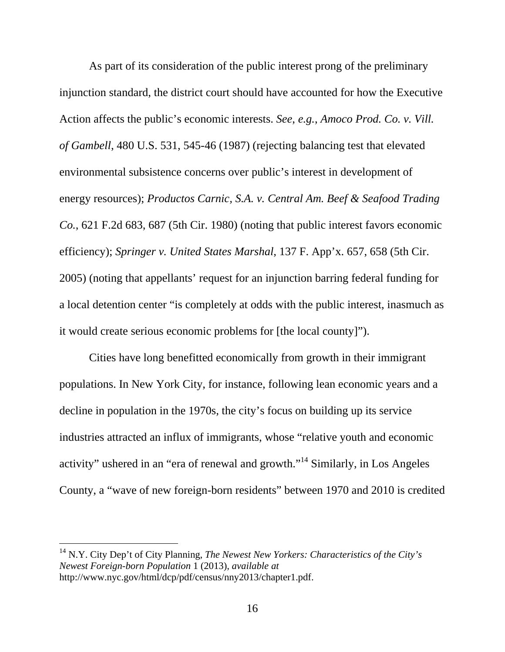As part of its consideration of the public interest prong of the preliminary injunction standard, the district court should have accounted for how the Executive Action affects the public's economic interests. *See*, *e.g.*, *Amoco Prod. Co. v. Vill. of Gambell*, 480 U.S. 531, 545-46 (1987) (rejecting balancing test that elevated environmental subsistence concerns over public's interest in development of energy resources); *Productos Carnic, S.A. v. Central Am. Beef & Seafood Trading Co.*, 621 F.2d 683, 687 (5th Cir. 1980) (noting that public interest favors economic efficiency); *Springer v. United States Marshal*, 137 F. App'x. 657, 658 (5th Cir. 2005) (noting that appellants' request for an injunction barring federal funding for a local detention center "is completely at odds with the public interest, inasmuch as it would create serious economic problems for [the local county]").

Cities have long benefitted economically from growth in their immigrant populations. In New York City, for instance, following lean economic years and a decline in population in the 1970s, the city's focus on building up its service industries attracted an influx of immigrants, whose "relative youth and economic activity" ushered in an "era of renewal and growth."<sup>14</sup> Similarly, in Los Angeles County, a "wave of new foreign-born residents" between 1970 and 2010 is credited

 $\overline{a}$ 

<sup>14</sup> N.Y. City Dep't of City Planning, *The Newest New Yorkers: Characteristics of the City's Newest Foreign-born Population* 1 (2013), *available at* http://www.nyc.gov/html/dcp/pdf/census/nny2013/chapter1.pdf.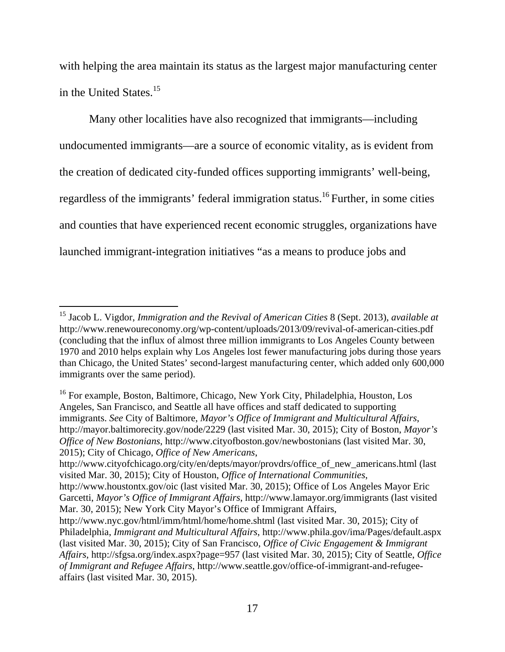with helping the area maintain its status as the largest major manufacturing center in the United States.<sup>15</sup>

Many other localities have also recognized that immigrants—including undocumented immigrants—are a source of economic vitality, as is evident from the creation of dedicated city-funded offices supporting immigrants' well-being, regardless of the immigrants' federal immigration status.<sup>16</sup> Further, in some cities and counties that have experienced recent economic struggles, organizations have launched immigrant-integration initiatives "as a means to produce jobs and

<sup>15</sup> Jacob L. Vigdor, *Immigration and the Revival of American Cities* 8 (Sept. 2013), *available at* http://www.renewoureconomy.org/wp-content/uploads/2013/09/revival-of-american-cities.pdf (concluding that the influx of almost three million immigrants to Los Angeles County between 1970 and 2010 helps explain why Los Angeles lost fewer manufacturing jobs during those years than Chicago, the United States' second-largest manufacturing center, which added only 600,000 immigrants over the same period).

<sup>&</sup>lt;sup>16</sup> For example, Boston, Baltimore, Chicago, New York City, Philadelphia, Houston, Los Angeles, San Francisco, and Seattle all have offices and staff dedicated to supporting immigrants. *See* City of Baltimore, *Mayor's Office of Immigrant and Multicultural Affairs*, http://mayor.baltimorecity.gov/node/2229 (last visited Mar. 30, 2015); City of Boston, *Mayor's Office of New Bostonians*, http://www.cityofboston.gov/newbostonians (last visited Mar. 30, 2015); City of Chicago, *Office of New Americans*,

http://www.cityofchicago.org/city/en/depts/mayor/provdrs/office\_of\_new\_americans.html (last visited Mar. 30, 2015); City of Houston, *Office of International Communities*,

http://www.houstontx.gov/oic (last visited Mar. 30, 2015); Office of Los Angeles Mayor Eric Garcetti, *Mayor's Office of Immigrant Affairs*, http://www.lamayor.org/immigrants (last visited Mar. 30, 2015); New York City Mayor's Office of Immigrant Affairs,

http://www.nyc.gov/html/imm/html/home/home.shtml (last visited Mar. 30, 2015); City of Philadelphia, *Immigrant and Multicultural Affairs*, http://www.phila.gov/ima/Pages/default.aspx (last visited Mar. 30, 2015); City of San Francisco, *Office of Civic Engagement & Immigrant Affairs*, http://sfgsa.org/index.aspx?page=957 (last visited Mar. 30, 2015); City of Seattle, *Office of Immigrant and Refugee Affairs*, http://www.seattle.gov/office-of-immigrant-and-refugeeaffairs (last visited Mar. 30, 2015).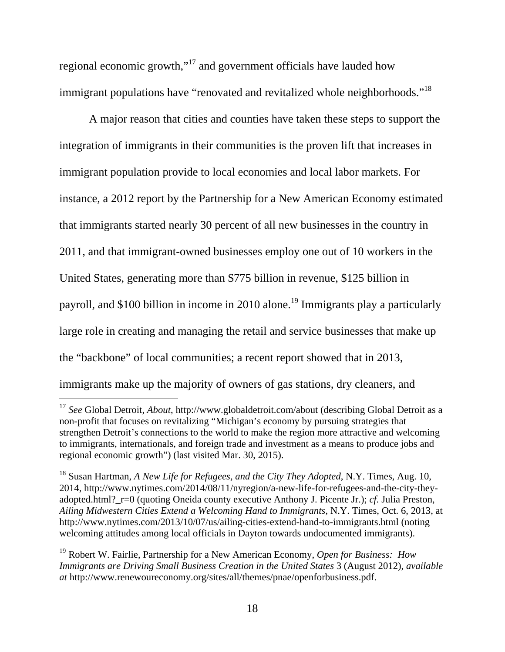regional economic growth,"17 and government officials have lauded how immigrant populations have "renovated and revitalized whole neighborhoods."<sup>18</sup>

A major reason that cities and counties have taken these steps to support the integration of immigrants in their communities is the proven lift that increases in immigrant population provide to local economies and local labor markets. For instance, a 2012 report by the Partnership for a New American Economy estimated that immigrants started nearly 30 percent of all new businesses in the country in 2011, and that immigrant-owned businesses employ one out of 10 workers in the United States, generating more than \$775 billion in revenue, \$125 billion in payroll, and \$100 billion in income in 2010 alone.<sup>19</sup> Immigrants play a particularly large role in creating and managing the retail and service businesses that make up the "backbone" of local communities; a recent report showed that in 2013, immigrants make up the majority of owners of gas stations, dry cleaners, and

 $\overline{a}$ <sup>17</sup> *See* Global Detroit, *About*, http://www.globaldetroit.com/about (describing Global Detroit as a non-profit that focuses on revitalizing "Michigan's economy by pursuing strategies that strengthen Detroit's connections to the world to make the region more attractive and welcoming to immigrants, internationals, and foreign trade and investment as a means to produce jobs and regional economic growth") (last visited Mar. 30, 2015).

<sup>18</sup> Susan Hartman, *A New Life for Refugees, and the City They Adopted*, N.Y. Times, Aug. 10, 2014, http://www.nytimes.com/2014/08/11/nyregion/a-new-life-for-refugees-and-the-city-theyadopted.html? r=0 (quoting Oneida county executive Anthony J. Picente Jr.); *cf.* Julia Preston, *Ailing Midwestern Cities Extend a Welcoming Hand to Immigrants*, N.Y. Times, Oct. 6, 2013, at http://www.nytimes.com/2013/10/07/us/ailing-cities-extend-hand-to-immigrants.html (noting welcoming attitudes among local officials in Dayton towards undocumented immigrants).

<sup>19</sup> Robert W. Fairlie, Partnership for a New American Economy, *Open for Business: How Immigrants are Driving Small Business Creation in the United States* 3 (August 2012), *available at* http://www.renewoureconomy.org/sites/all/themes/pnae/openforbusiness.pdf.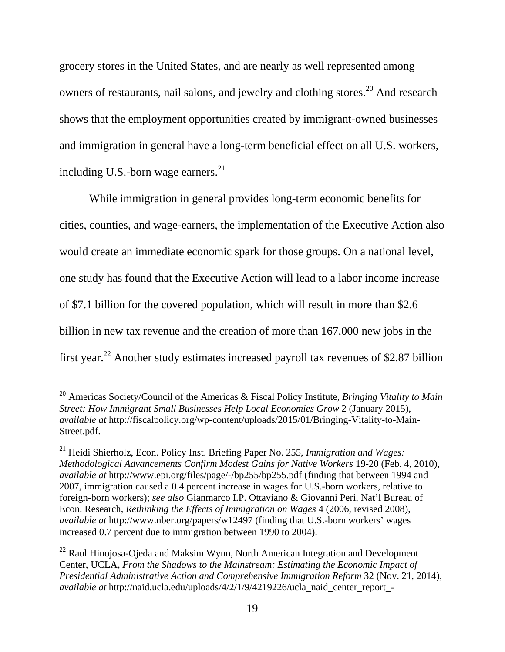grocery stores in the United States, and are nearly as well represented among owners of restaurants, nail salons, and jewelry and clothing stores.<sup>20</sup> And research shows that the employment opportunities created by immigrant-owned businesses and immigration in general have a long-term beneficial effect on all U.S. workers, including U.S.-born wage earners. $^{21}$ 

While immigration in general provides long-term economic benefits for cities, counties, and wage-earners, the implementation of the Executive Action also would create an immediate economic spark for those groups. On a national level, one study has found that the Executive Action will lead to a labor income increase of \$7.1 billion for the covered population, which will result in more than \$2.6 billion in new tax revenue and the creation of more than 167,000 new jobs in the first year.<sup>22</sup> Another study estimates increased payroll tax revenues of \$2.87 billion

<sup>20</sup> Americas Society/Council of the Americas & Fiscal Policy Institute, *Bringing Vitality to Main Street: How Immigrant Small Businesses Help Local Economies Grow* 2 (January 2015), *available at* http://fiscalpolicy.org/wp-content/uploads/2015/01/Bringing-Vitality-to-Main-Street.pdf.

<sup>21</sup> Heidi Shierholz, Econ. Policy Inst. Briefing Paper No. 255, *Immigration and Wages: Methodological Advancements Confirm Modest Gains for Native Workers* 19-20 (Feb. 4, 2010), *available at* http://www.epi.org/files/page/-/bp255/bp255.pdf (finding that between 1994 and 2007, immigration caused a 0.4 percent increase in wages for U.S.-born workers, relative to foreign-born workers); *see also* Gianmarco I.P. Ottaviano & Giovanni Peri, Nat'l Bureau of Econ. Research, *Rethinking the Effects of Immigration on Wages* 4 (2006, revised 2008), *available at* http://www.nber.org/papers/w12497 (finding that U.S.-born workers' wages increased 0.7 percent due to immigration between 1990 to 2004).

 $^{22}$  Raul Hinojosa-Ojeda and Maksim Wynn, North American Integration and Development Center, UCLA, *From the Shadows to the Mainstream: Estimating the Economic Impact of Presidential Administrative Action and Comprehensive Immigration Reform* 32 (Nov. 21, 2014), *available at* http://naid.ucla.edu/uploads/4/2/1/9/4219226/ucla\_naid\_center\_report\_-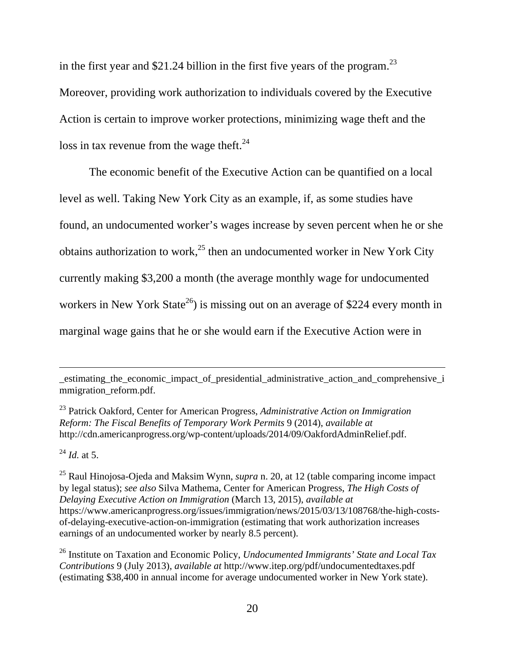in the first year and \$21.24 billion in the first five years of the program.<sup>23</sup> Moreover, providing work authorization to individuals covered by the Executive Action is certain to improve worker protections, minimizing wage theft and the loss in tax revenue from the wage theft.<sup>24</sup>

The economic benefit of the Executive Action can be quantified on a local level as well. Taking New York City as an example, if, as some studies have found, an undocumented worker's wages increase by seven percent when he or she obtains authorization to work,<sup>25</sup> then an undocumented worker in New York City currently making \$3,200 a month (the average monthly wage for undocumented workers in New York State<sup>26</sup>) is missing out on an average of \$224 every month in marginal wage gains that he or she would earn if the Executive Action were in

23 Patrick Oakford, Center for American Progress, *Administrative Action on Immigration Reform: The Fiscal Benefits of Temporary Work Permits* 9 (2014), *available at* http://cdn.americanprogress.org/wp-content/uploads/2014/09/OakfordAdminRelief.pdf.

<sup>24</sup> *Id.* at 5.

\_estimating\_the\_economic\_impact\_of\_presidential\_administrative\_action\_and\_comprehensive\_i mmigration reform.pdf.

<sup>25</sup> Raul Hinojosa-Ojeda and Maksim Wynn, *supra* n. 20, at 12 (table comparing income impact by legal status); *see also* Silva Mathema, Center for American Progress, *The High Costs of Delaying Executive Action on Immigration* (March 13, 2015), *available at* https://www.americanprogress.org/issues/immigration/news/2015/03/13/108768/the-high-costsof-delaying-executive-action-on-immigration (estimating that work authorization increases earnings of an undocumented worker by nearly 8.5 percent).

<sup>26</sup> Institute on Taxation and Economic Policy, *Undocumented Immigrants' State and Local Tax Contributions* 9 (July 2013), *available at* http://www.itep.org/pdf/undocumentedtaxes.pdf (estimating \$38,400 in annual income for average undocumented worker in New York state).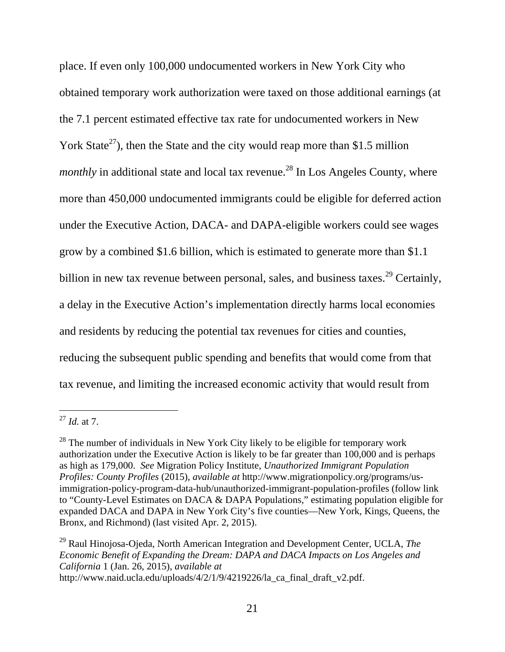place. If even only 100,000 undocumented workers in New York City who obtained temporary work authorization were taxed on those additional earnings (at the 7.1 percent estimated effective tax rate for undocumented workers in New York State<sup>27</sup>), then the State and the city would reap more than \$1.5 million *monthly* in additional state and local tax revenue.<sup>28</sup> In Los Angeles County, where more than 450,000 undocumented immigrants could be eligible for deferred action under the Executive Action, DACA- and DAPA-eligible workers could see wages grow by a combined \$1.6 billion, which is estimated to generate more than \$1.1 billion in new tax revenue between personal, sales, and business taxes.<sup>29</sup> Certainly, a delay in the Executive Action's implementation directly harms local economies and residents by reducing the potential tax revenues for cities and counties, reducing the subsequent public spending and benefits that would come from that tax revenue, and limiting the increased economic activity that would result from

<sup>27</sup> *Id.* at 7.

 $28$  The number of individuals in New York City likely to be eligible for temporary work authorization under the Executive Action is likely to be far greater than 100,000 and is perhaps as high as 179,000. *See* Migration Policy Institute, *Unauthorized Immigrant Population Profiles: County Profiles* (2015), *available at* http://www.migrationpolicy.org/programs/usimmigration-policy-program-data-hub/unauthorized-immigrant-population-profiles (follow link to "County-Level Estimates on DACA & DAPA Populations," estimating population eligible for expanded DACA and DAPA in New York City's five counties—New York, Kings, Queens, the Bronx, and Richmond) (last visited Apr. 2, 2015).

<sup>29</sup> Raul Hinojosa-Ojeda, North American Integration and Development Center, UCLA, *The Economic Benefit of Expanding the Dream: DAPA and DACA Impacts on Los Angeles and California* 1 (Jan. 26, 2015), *available at*

http://www.naid.ucla.edu/uploads/4/2/1/9/4219226/la\_ca\_final\_draft\_v2.pdf.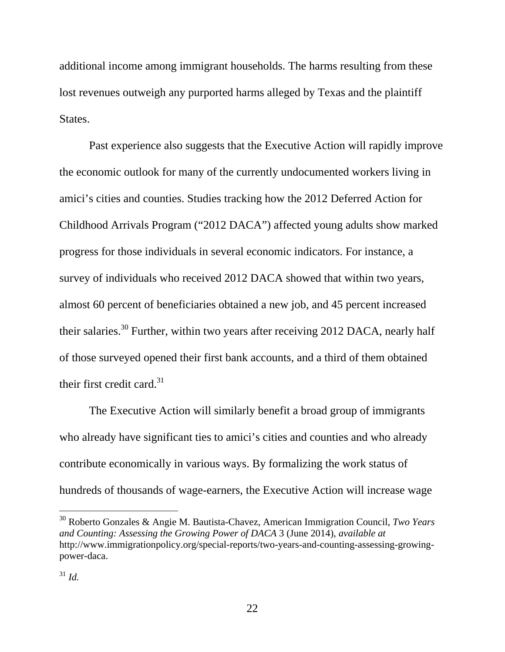additional income among immigrant households. The harms resulting from these lost revenues outweigh any purported harms alleged by Texas and the plaintiff States.

Past experience also suggests that the Executive Action will rapidly improve the economic outlook for many of the currently undocumented workers living in amici's cities and counties. Studies tracking how the 2012 Deferred Action for Childhood Arrivals Program ("2012 DACA") affected young adults show marked progress for those individuals in several economic indicators. For instance, a survey of individuals who received 2012 DACA showed that within two years, almost 60 percent of beneficiaries obtained a new job, and 45 percent increased their salaries.<sup>30</sup> Further, within two years after receiving 2012 DACA, nearly half of those surveyed opened their first bank accounts, and a third of them obtained their first credit card.<sup>31</sup>

The Executive Action will similarly benefit a broad group of immigrants who already have significant ties to amici's cities and counties and who already contribute economically in various ways. By formalizing the work status of hundreds of thousands of wage-earners, the Executive Action will increase wage

 $\overline{a}$ 

<sup>30</sup> Roberto Gonzales & Angie M. Bautista-Chavez, American Immigration Council, *Two Years and Counting: Assessing the Growing Power of DACA* 3 (June 2014), *available at* http://www.immigrationpolicy.org/special-reports/two-years-and-counting-assessing-growingpower-daca.

<sup>31</sup> *Id.*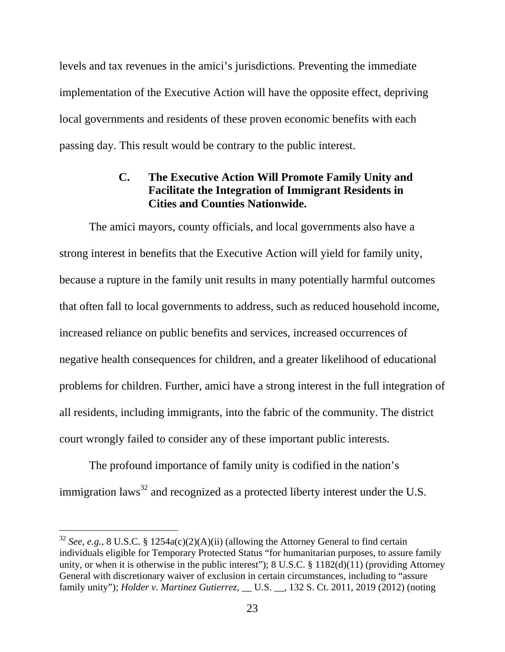levels and tax revenues in the amici's jurisdictions. Preventing the immediate implementation of the Executive Action will have the opposite effect, depriving local governments and residents of these proven economic benefits with each passing day. This result would be contrary to the public interest.

## **C. The Executive Action Will Promote Family Unity and Facilitate the Integration of Immigrant Residents in Cities and Counties Nationwide.**

The amici mayors, county officials, and local governments also have a strong interest in benefits that the Executive Action will yield for family unity, because a rupture in the family unit results in many potentially harmful outcomes that often fall to local governments to address, such as reduced household income, increased reliance on public benefits and services, increased occurrences of negative health consequences for children, and a greater likelihood of educational problems for children. Further, amici have a strong interest in the full integration of all residents, including immigrants, into the fabric of the community. The district court wrongly failed to consider any of these important public interests.

The profound importance of family unity is codified in the nation's immigration laws<sup>32</sup> and recognized as a protected liberty interest under the U.S.

 $\overline{a}$ 

<sup>32</sup> *See*, *e.g.*, 8 U.S.C. § 1254a(c)(2)(A)(ii) (allowing the Attorney General to find certain individuals eligible for Temporary Protected Status "for humanitarian purposes, to assure family unity, or when it is otherwise in the public interest"); 8 U.S.C. § 1182(d)(11) (providing Attorney General with discretionary waiver of exclusion in certain circumstances, including to "assure family unity"); *Holder v. Martinez Gutierrez*, \_\_ U.S. \_\_, 132 S. Ct. 2011, 2019 (2012) (noting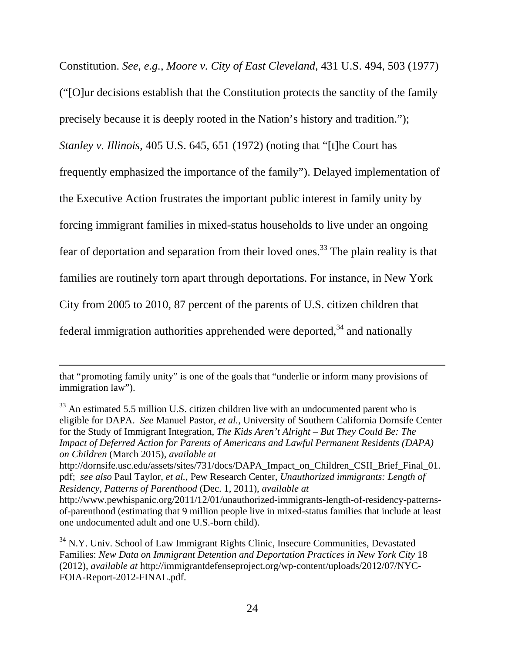Constitution. *See*, *e.g.*, *Moore v. City of East Cleveland*, 431 U.S. 494, 503 (1977) ("[O]ur decisions establish that the Constitution protects the sanctity of the family precisely because it is deeply rooted in the Nation's history and tradition."); *Stanley v. Illinois*, 405 U.S. 645, 651 (1972) (noting that "[t]he Court has frequently emphasized the importance of the family"). Delayed implementation of the Executive Action frustrates the important public interest in family unity by forcing immigrant families in mixed-status households to live under an ongoing fear of deportation and separation from their loved ones.33 The plain reality is that families are routinely torn apart through deportations. For instance, in New York City from 2005 to 2010, 87 percent of the parents of U.S. citizen children that federal immigration authorities apprehended were deported,  $34$  and nationally

 $\overline{a}$ 

http://dornsife.usc.edu/assets/sites/731/docs/DAPA\_Impact\_on\_Children\_CSII\_Brief\_Final\_01. pdf; *see also* Paul Taylor, *et al.*, Pew Research Center, *Unauthorized immigrants: Length of Residency, Patterns of Parenthood* (Dec. 1, 2011), *available at*

that "promoting family unity" is one of the goals that "underlie or inform many provisions of immigration law").

 $33$  An estimated 5.5 million U.S. citizen children live with an undocumented parent who is eligible for DAPA. *See* Manuel Pastor, *et al.*, University of Southern California Dornsife Center for the Study of Immigrant Integration, *The Kids Aren't Alright – But They Could Be: The Impact of Deferred Action for Parents of Americans and Lawful Permanent Residents (DAPA) on Children* (March 2015), *available at*

http://www.pewhispanic.org/2011/12/01/unauthorized-immigrants-length-of-residency-patternsof-parenthood (estimating that 9 million people live in mixed-status families that include at least one undocumented adult and one U.S.-born child).

<sup>&</sup>lt;sup>34</sup> N.Y. Univ. School of Law Immigrant Rights Clinic, Insecure Communities, Devastated Families: *New Data on Immigrant Detention and Deportation Practices in New York City* 18 (2012), *available at* http://immigrantdefenseproject.org/wp-content/uploads/2012/07/NYC-FOIA-Report-2012-FINAL.pdf.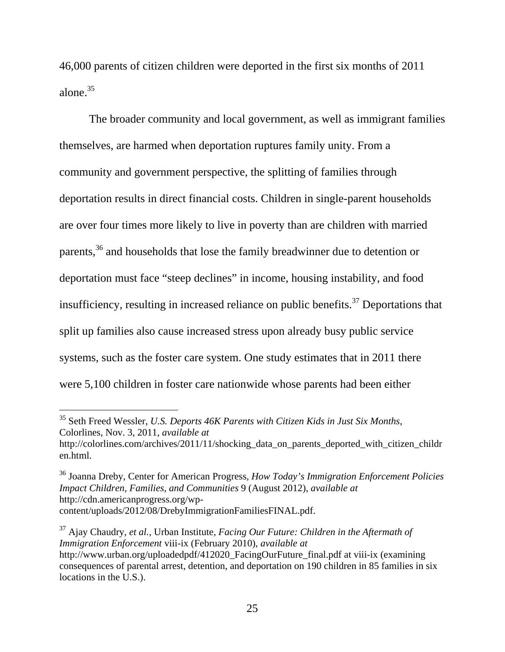46,000 parents of citizen children were deported in the first six months of 2011 alone.35

The broader community and local government, as well as immigrant families themselves, are harmed when deportation ruptures family unity. From a community and government perspective, the splitting of families through deportation results in direct financial costs. Children in single-parent households are over four times more likely to live in poverty than are children with married parents,<sup>36</sup> and households that lose the family breadwinner due to detention or deportation must face "steep declines" in income, housing instability, and food insufficiency, resulting in increased reliance on public benefits.<sup>37</sup> Deportations that split up families also cause increased stress upon already busy public service systems, such as the foster care system. One study estimates that in 2011 there were 5,100 children in foster care nationwide whose parents had been either

 $\overline{a}$ 

<sup>35</sup> Seth Freed Wessler, *U.S. Deports 46K Parents with Citizen Kids in Just Six Months*, Colorlines, Nov. 3, 2011, *available at* http://colorlines.com/archives/2011/11/shocking\_data\_on\_parents\_deported\_with\_citizen\_childr en.html.

<sup>36</sup> Joanna Dreby, Center for American Progress, *How Today's Immigration Enforcement Policies Impact Children, Families, and Communities* 9 (August 2012), *available at* http://cdn.americanprogress.org/wpcontent/uploads/2012/08/DrebyImmigrationFamiliesFINAL.pdf.

<sup>37</sup> Ajay Chaudry, *et al.*, Urban Institute, *Facing Our Future: Children in the Aftermath of Immigration Enforcement* viii-ix (February 2010), *available at* http://www.urban.org/uploadedpdf/412020\_FacingOurFuture\_final.pdf at viii-ix (examining consequences of parental arrest, detention, and deportation on 190 children in 85 families in six locations in the U.S.).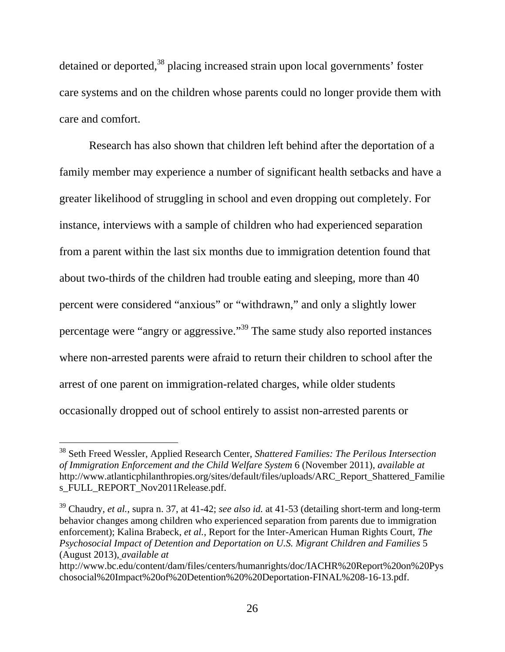detained or deported,<sup>38</sup> placing increased strain upon local governments' foster care systems and on the children whose parents could no longer provide them with care and comfort.

Research has also shown that children left behind after the deportation of a family member may experience a number of significant health setbacks and have a greater likelihood of struggling in school and even dropping out completely. For instance, interviews with a sample of children who had experienced separation from a parent within the last six months due to immigration detention found that about two-thirds of the children had trouble eating and sleeping, more than 40 percent were considered "anxious" or "withdrawn," and only a slightly lower percentage were "angry or aggressive."39 The same study also reported instances where non-arrested parents were afraid to return their children to school after the arrest of one parent on immigration-related charges, while older students occasionally dropped out of school entirely to assist non-arrested parents or

<sup>38</sup> Seth Freed Wessler, Applied Research Center, *Shattered Families: The Perilous Intersection of Immigration Enforcement and the Child Welfare System* 6 (November 2011), *available at* http://www.atlanticphilanthropies.org/sites/default/files/uploads/ARC\_Report\_Shattered\_Familie s\_FULL\_REPORT\_Nov2011Release.pdf.

<sup>39</sup> Chaudry, *et al.*, supra n. 37, at 41-42; *see also id.* at 41-53 (detailing short-term and long-term behavior changes among children who experienced separation from parents due to immigration enforcement); Kalina Brabeck, *et al.*, Report for the Inter-American Human Rights Court, *The Psychosocial Impact of Detention and Deportation on U.S. Migrant Children and Families* 5 (August 2013), *available at*

http://www.bc.edu/content/dam/files/centers/humanrights/doc/IACHR%20Report%20on%20Pys chosocial%20Impact%20of%20Detention%20%20Deportation-FINAL%208-16-13.pdf.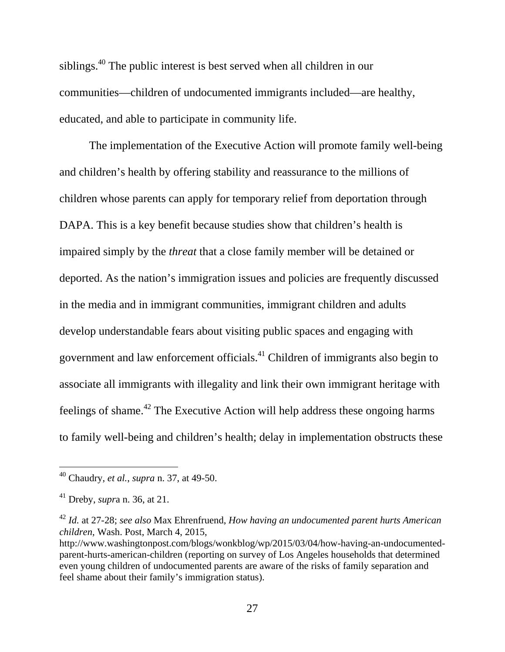siblings.40 The public interest is best served when all children in our communities—children of undocumented immigrants included—are healthy, educated, and able to participate in community life.

The implementation of the Executive Action will promote family well-being and children's health by offering stability and reassurance to the millions of children whose parents can apply for temporary relief from deportation through DAPA. This is a key benefit because studies show that children's health is impaired simply by the *threat* that a close family member will be detained or deported. As the nation's immigration issues and policies are frequently discussed in the media and in immigrant communities, immigrant children and adults develop understandable fears about visiting public spaces and engaging with government and law enforcement officials.41 Children of immigrants also begin to associate all immigrants with illegality and link their own immigrant heritage with feelings of shame.42 The Executive Action will help address these ongoing harms to family well-being and children's health; delay in implementation obstructs these

<sup>40</sup> Chaudry, *et al.*, *supra* n. 37, at 49-50.

<sup>41</sup> Dreby, *supr*a n. 36, at 21.

<sup>42</sup> *Id.* at 27-28; *see also* Max Ehrenfruend, *How having an undocumented parent hurts American children*, Wash. Post, March 4, 2015,

http://www.washingtonpost.com/blogs/wonkblog/wp/2015/03/04/how-having-an-undocumentedparent-hurts-american-children (reporting on survey of Los Angeles households that determined even young children of undocumented parents are aware of the risks of family separation and feel shame about their family's immigration status).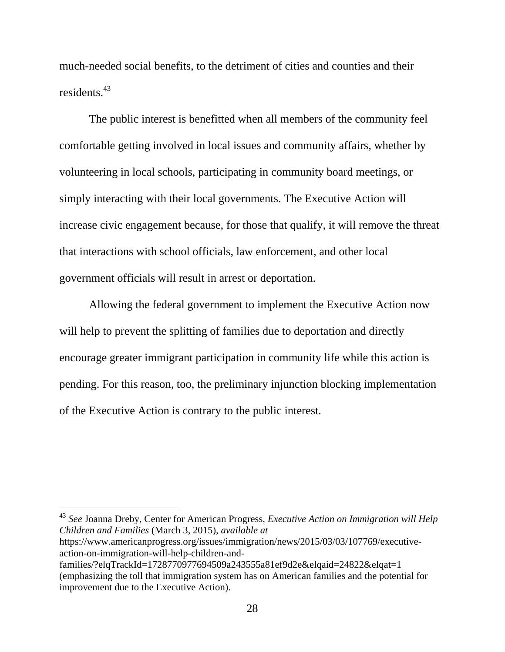much-needed social benefits, to the detriment of cities and counties and their residents<sup>43</sup>

The public interest is benefitted when all members of the community feel comfortable getting involved in local issues and community affairs, whether by volunteering in local schools, participating in community board meetings, or simply interacting with their local governments. The Executive Action will increase civic engagement because, for those that qualify, it will remove the threat that interactions with school officials, law enforcement, and other local government officials will result in arrest or deportation.

Allowing the federal government to implement the Executive Action now will help to prevent the splitting of families due to deportation and directly encourage greater immigrant participation in community life while this action is pending. For this reason, too, the preliminary injunction blocking implementation of the Executive Action is contrary to the public interest.

<sup>43</sup> *See* Joanna Dreby, Center for American Progress, *Executive Action on Immigration will Help Children and Families* (March 3, 2015), *available at*  https://www.americanprogress.org/issues/immigration/news/2015/03/03/107769/executiveaction-on-immigration-will-help-children-and-

l

families/?elqTrackId=1728770977694509a243555a81ef9d2e&elqaid=24822&elqat=1 (emphasizing the toll that immigration system has on American families and the potential for improvement due to the Executive Action).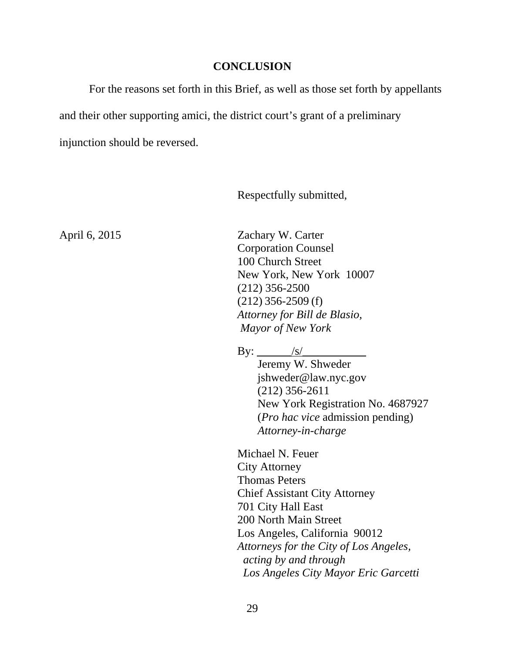#### **CONCLUSION**

For the reasons set forth in this Brief, as well as those set forth by appellants and their other supporting amici, the district court's grant of a preliminary injunction should be reversed.

Respectfully submitted,

April 6, 2015 Zachary W. Carter Corporation Counsel 100 Church Street New York, New York 10007 (212) 356-2500 (212) 356-2509 (f) *Attorney for Bill de Blasio, Mayor of New York* 

By:  $\frac{|s|}{|s|}$ 

 Jeremy W. Shweder jshweder@law.nyc.gov (212) 356-2611 New York Registration No. 4687927 (*Pro hac vice* admission pending) *Attorney-in-charge*

Michael N. Feuer City Attorney Thomas Peters Chief Assistant City Attorney 701 City Hall East 200 North Main Street Los Angeles, California 90012 *Attorneys for the City of Los Angeles, acting by and through Los Angeles City Mayor Eric Garcetti*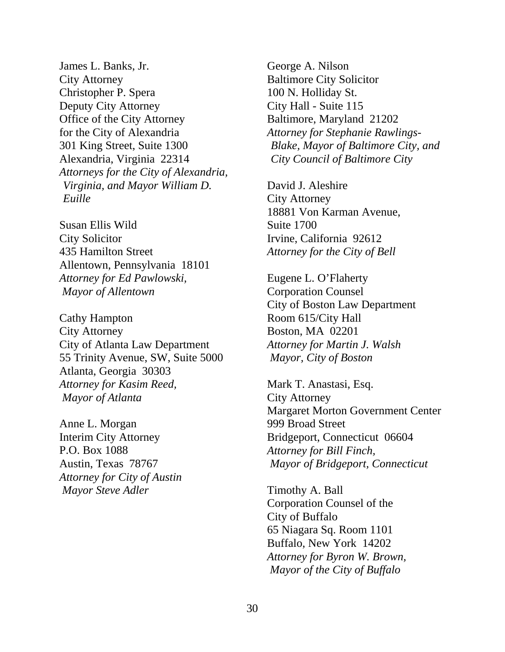James L. Banks, Jr. City Attorney Christopher P. Spera Deputy City Attorney Office of the City Attorney for the City of Alexandria 301 King Street, Suite 1300 Alexandria, Virginia 22314 *Attorneys for the City of Alexandria, Virginia, and Mayor William D. Euille* 

Susan Ellis Wild City Solicitor 435 Hamilton Street Allentown, Pennsylvania 18101 *Attorney for Ed Pawlowski, Mayor of Allentown* 

Cathy Hampton City Attorney City of Atlanta Law Department 55 Trinity Avenue, SW, Suite 5000 Atlanta, Georgia 30303 *Attorney for Kasim Reed, Mayor of Atlanta* 

Anne L. Morgan Interim City Attorney P.O. Box 1088 Austin, Texas 78767 *Attorney for City of Austin Mayor Steve Adler* 

George A. Nilson Baltimore City Solicitor 100 N. Holliday St. City Hall - Suite 115 Baltimore, Maryland 21202 *Attorney for Stephanie Rawlings-Blake, Mayor of Baltimore City, and City Council of Baltimore City* 

David J. Aleshire City Attorney 18881 Von Karman Avenue, Suite 1700 Irvine, California 92612 *Attorney for the City of Bell* 

Eugene L. O'Flaherty Corporation Counsel City of Boston Law Department Room 615/City Hall Boston, MA 02201 *Attorney for Martin J. Walsh Mayor, City of Boston* 

Mark T. Anastasi, Esq. City Attorney Margaret Morton Government Center 999 Broad Street Bridgeport, Connecticut 06604 *Attorney for Bill Finch, Mayor of Bridgeport, Connecticut* 

Timothy A. Ball Corporation Counsel of the City of Buffalo 65 Niagara Sq. Room 1101 Buffalo, New York 14202 *Attorney for Byron W. Brown, Mayor of the City of Buffalo*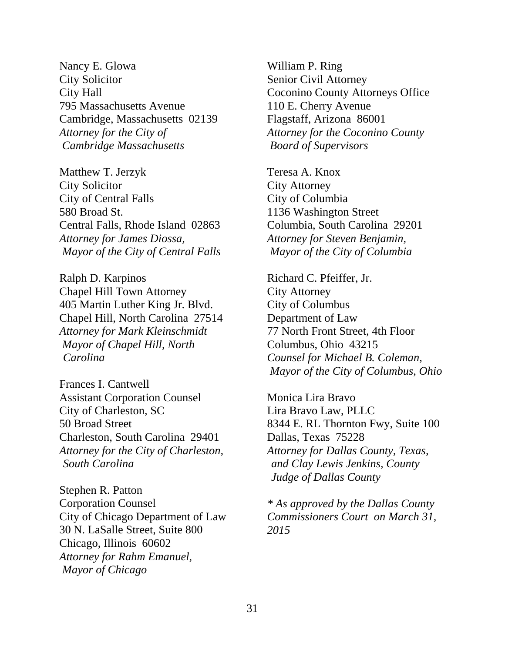Nancy E. Glowa City Solicitor City Hall 795 Massachusetts Avenue Cambridge, Massachusetts 02139 *Attorney for the City of Cambridge Massachusetts* 

Matthew T. Jerzyk City Solicitor City of Central Falls 580 Broad St. Central Falls, Rhode Island 02863 *Attorney for James Diossa, Mayor of the City of Central Falls*

Ralph D. Karpinos Chapel Hill Town Attorney 405 Martin Luther King Jr. Blvd. Chapel Hill, North Carolina 27514 *Attorney for Mark Kleinschmidt Mayor of Chapel Hill, North Carolina* 

Frances I. Cantwell Assistant Corporation Counsel City of Charleston, SC 50 Broad Street Charleston, South Carolina 29401 *Attorney for the City of Charleston, South Carolina* 

Stephen R. Patton Corporation Counsel City of Chicago Department of Law 30 N. LaSalle Street, Suite 800 Chicago, Illinois 60602 *Attorney for Rahm Emanuel, Mayor of Chicago*

William P. Ring Senior Civil Attorney Coconino County Attorneys Office 110 E. Cherry Avenue Flagstaff, Arizona 86001 *Attorney for the Coconino County Board of Supervisors* 

Teresa A. Knox City Attorney City of Columbia 1136 Washington Street Columbia, South Carolina 29201 *Attorney for Steven Benjamin, Mayor of the City of Columbia* 

Richard C. Pfeiffer, Jr. City Attorney City of Columbus Department of Law 77 North Front Street, 4th Floor Columbus, Ohio 43215 *Counsel for Michael B. Coleman, Mayor of the City of Columbus, Ohio* 

Monica Lira Bravo Lira Bravo Law, PLLC 8344 E. RL Thornton Fwy, Suite 100 Dallas, Texas 75228 *Attorney for Dallas County, Texas, and Clay Lewis Jenkins, County Judge of Dallas County* 

*\* As approved by the Dallas County Commissioners Court on March 31, 2015*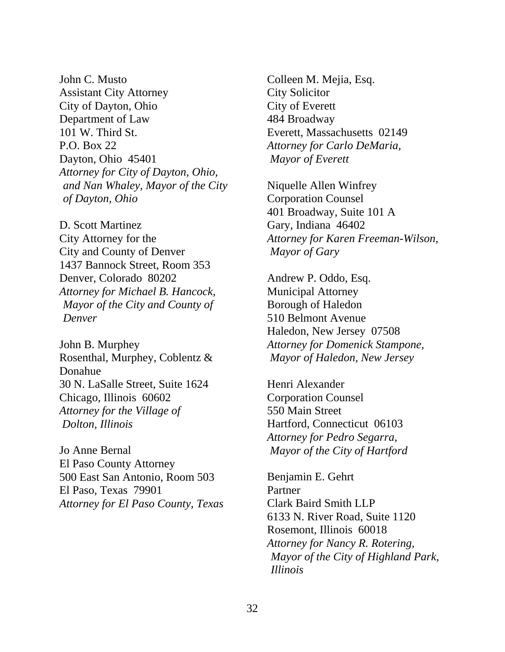John C. Musto Assistant City Attorney City of Dayton, Ohio Department of Law 101 W. Third St. P.O. Box 22 Dayton, Ohio 45401 *Attorney for City of Dayton, Ohio, and Nan Whaley, Mayor of the City of Dayton, Ohio*

D. Scott Martinez City Attorney for the City and County of Denver 1437 Bannock Street, Room 353 Denver, Colorado 80202 *Attorney for Michael B. Hancock, Mayor of the City and County of Denver* 

John B. Murphey Rosenthal, Murphey, Coblentz & Donahue 30 N. LaSalle Street, Suite 1624 Chicago, Illinois 60602 *Attorney for the Village of Dolton, Illinois* 

Jo Anne Bernal El Paso County Attorney 500 East San Antonio, Room 503 El Paso, Texas 79901 *Attorney for El Paso County, Texas* 

Colleen M. Mejia, Esq. City Solicitor City of Everett 484 Broadway Everett, Massachusetts 02149 *Attorney for Carlo DeMaria, Mayor of Everett* 

Niquelle Allen Winfrey Corporation Counsel 401 Broadway, Suite 101 A Gary, Indiana 46402 *Attorney for Karen Freeman-Wilson, Mayor of Gary* 

Andrew P. Oddo, Esq. Municipal Attorney Borough of Haledon 510 Belmont Avenue Haledon, New Jersey 07508 *Attorney for Domenick Stampone, Mayor of Haledon, New Jersey* 

Henri Alexander Corporation Counsel 550 Main Street Hartford, Connecticut 06103 *Attorney for Pedro Segarra, Mayor of the City of Hartford*

Benjamin E. Gehrt Partner Clark Baird Smith LLP 6133 N. River Road, Suite 1120 Rosemont, Illinois 60018 *Attorney for Nancy R. Rotering, Mayor of the City of Highland Park, Illinois*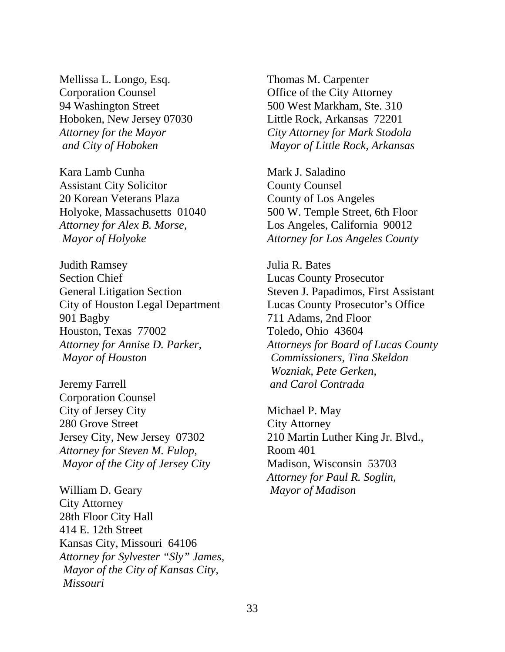Mellissa L. Longo, Esq. Corporation Counsel 94 Washington Street Hoboken, New Jersey 07030 *Attorney for the Mayor and City of Hoboken* 

Kara Lamb Cunha Assistant City Solicitor 20 Korean Veterans Plaza Holyoke, Massachusetts 01040 *Attorney for Alex B. Morse, Mayor of Holyoke* 

Judith Ramsey Section Chief General Litigation Section City of Houston Legal Department 901 Bagby Houston, Texas 77002 *Attorney for Annise D. Parker, Mayor of Houston* 

Jeremy Farrell Corporation Counsel City of Jersey City 280 Grove Street Jersey City, New Jersey 07302 *Attorney for Steven M. Fulop, Mayor of the City of Jersey City* 

William D. Geary City Attorney 28th Floor City Hall 414 E. 12th Street Kansas City, Missouri 64106 *Attorney for Sylvester "Sly" James, Mayor of the City of Kansas City, Missouri* 

Thomas M. Carpenter Office of the City Attorney 500 West Markham, Ste. 310 Little Rock, Arkansas 72201 *City Attorney for Mark Stodola Mayor of Little Rock, Arkansas* 

Mark J. Saladino County Counsel County of Los Angeles 500 W. Temple Street, 6th Floor Los Angeles, California 90012 *Attorney for Los Angeles County* 

Julia R. Bates Lucas County Prosecutor Steven J. Papadimos, First Assistant Lucas County Prosecutor's Office 711 Adams, 2nd Floor Toledo, Ohio 43604 *Attorneys for Board of Lucas County Commissioners, Tina Skeldon Wozniak, Pete Gerken, and Carol Contrada* 

Michael P. May City Attorney 210 Martin Luther King Jr. Blvd., Room 401 Madison, Wisconsin 53703 *Attorney for Paul R. Soglin, Mayor of Madison*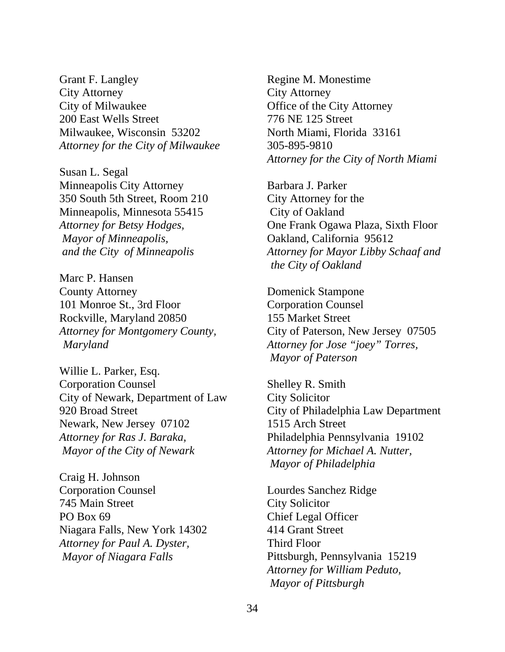Grant F. Langley City Attorney City of Milwaukee 200 East Wells Street Milwaukee, Wisconsin 53202 *Attorney for the City of Milwaukee* 

Susan L. Segal Minneapolis City Attorney 350 South 5th Street, Room 210 Minneapolis, Minnesota 55415 *Attorney for Betsy Hodges, Mayor of Minneapolis, and the City of Minneapolis* 

Marc P. Hansen County Attorney 101 Monroe St., 3rd Floor Rockville, Maryland 20850 *Attorney for Montgomery County, Maryland* 

Willie L. Parker, Esq. Corporation Counsel City of Newark, Department of Law 920 Broad Street Newark, New Jersey 07102 *Attorney for Ras J. Baraka, Mayor of the City of Newark* 

Craig H. Johnson Corporation Counsel 745 Main Street PO Box 69 Niagara Falls, New York 14302 *Attorney for Paul A. Dyster, Mayor of Niagara Falls*

Regine M. Monestime City Attorney Office of the City Attorney 776 NE 125 Street North Miami, Florida 33161 305-895-9810 *Attorney for the City of North Miami* 

Barbara J. Parker City Attorney for the City of Oakland One Frank Ogawa Plaza, Sixth Floor Oakland, California 95612 *Attorney for Mayor Libby Schaaf and the City of Oakland* 

Domenick Stampone Corporation Counsel 155 Market Street City of Paterson, New Jersey 07505 *Attorney for Jose "joey" Torres, Mayor of Paterson* 

Shelley R. Smith City Solicitor City of Philadelphia Law Department 1515 Arch Street Philadelphia Pennsylvania 19102 *Attorney for Michael A. Nutter, Mayor of Philadelphia* 

Lourdes Sanchez Ridge City Solicitor Chief Legal Officer 414 Grant Street Third Floor Pittsburgh, Pennsylvania 15219 *Attorney for William Peduto, Mayor of Pittsburgh*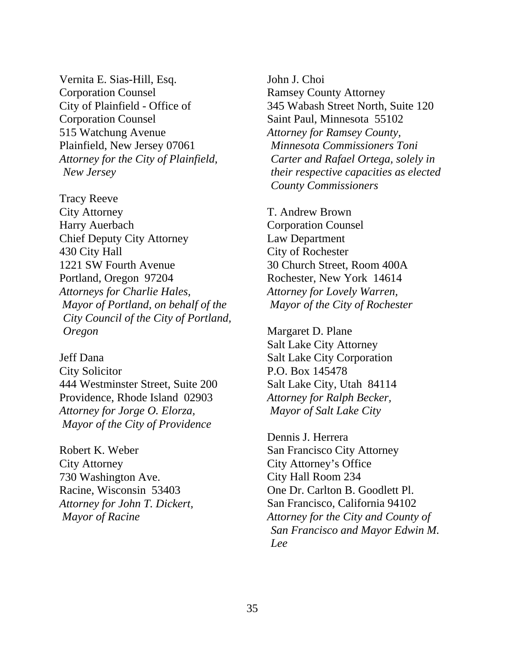Vernita E. Sias-Hill, Esq. Corporation Counsel City of Plainfield - Office of Corporation Counsel 515 Watchung Avenue Plainfield, New Jersey 07061 *Attorney for the City of Plainfield, New Jersey* 

Tracy Reeve City Attorney Harry Auerbach Chief Deputy City Attorney 430 City Hall 1221 SW Fourth Avenue Portland, Oregon 97204 *Attorneys for Charlie Hales, Mayor of Portland, on behalf of the City Council of the City of Portland, Oregon*

Jeff Dana City Solicitor 444 Westminster Street, Suite 200 Providence, Rhode Island 02903 *Attorney for Jorge O. Elorza, Mayor of the City of Providence*

Robert K. Weber City Attorney 730 Washington Ave. Racine, Wisconsin 53403 *Attorney for John T. Dickert, Mayor of Racine* 

John J. Choi Ramsey County Attorney 345 Wabash Street North, Suite 120 Saint Paul, Minnesota 55102 *Attorney for Ramsey County, Minnesota Commissioners Toni Carter and Rafael Ortega, solely in their respective capacities as elected County Commissioners* 

T. Andrew Brown Corporation Counsel Law Department City of Rochester 30 Church Street, Room 400A Rochester, New York 14614 *Attorney for Lovely Warren, Mayor of the City of Rochester* 

Margaret D. Plane Salt Lake City Attorney Salt Lake City Corporation P.O. Box 145478 Salt Lake City, Utah 84114 *Attorney for Ralph Becker, Mayor of Salt Lake City* 

Dennis J. Herrera San Francisco City Attorney City Attorney's Office City Hall Room 234 One Dr. Carlton B. Goodlett Pl. San Francisco, California 94102 *Attorney for the City and County of San Francisco and Mayor Edwin M. Lee*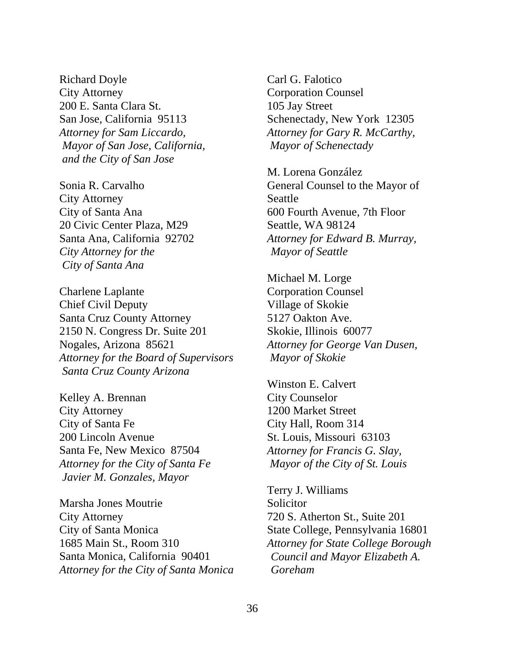Richard Doyle City Attorney 200 E. Santa Clara St. San Jose, California 95113 *Attorney for Sam Liccardo, Mayor of San Jose, California, and the City of San Jose* 

Sonia R. Carvalho City Attorney City of Santa Ana 20 Civic Center Plaza, M29 Santa Ana, California 92702 *City Attorney for the City of Santa Ana* 

Charlene Laplante Chief Civil Deputy Santa Cruz County Attorney 2150 N. Congress Dr. Suite 201 Nogales, Arizona 85621 *Attorney for the Board of Supervisors Santa Cruz County Arizona* 

Kelley A. Brennan City Attorney City of Santa Fe 200 Lincoln Avenue Santa Fe, New Mexico 87504 *Attorney for the City of Santa Fe Javier M. Gonzales, Mayor* 

Marsha Jones Moutrie City Attorney City of Santa Monica 1685 Main St., Room 310 Santa Monica, California 90401 *Attorney for the City of Santa Monica* 

Carl G. Falotico Corporation Counsel 105 Jay Street Schenectady, New York 12305 *Attorney for Gary R. McCarthy, Mayor of Schenectady* 

M. Lorena González General Counsel to the Mayor of Seattle 600 Fourth Avenue, 7th Floor Seattle, WA 98124 *Attorney for Edward B. Murray, Mayor of Seattle* 

Michael M. Lorge Corporation Counsel Village of Skokie 5127 Oakton Ave. Skokie, Illinois 60077 *Attorney for George Van Dusen, Mayor of Skokie* 

Winston E. Calvert City Counselor 1200 Market Street City Hall, Room 314 St. Louis, Missouri 63103 *Attorney for Francis G. Slay, Mayor of the City of St. Louis* 

Terry J. Williams **Solicitor** 720 S. Atherton St., Suite 201 State College, Pennsylvania 16801 *Attorney for State College Borough Council and Mayor Elizabeth A. Goreham*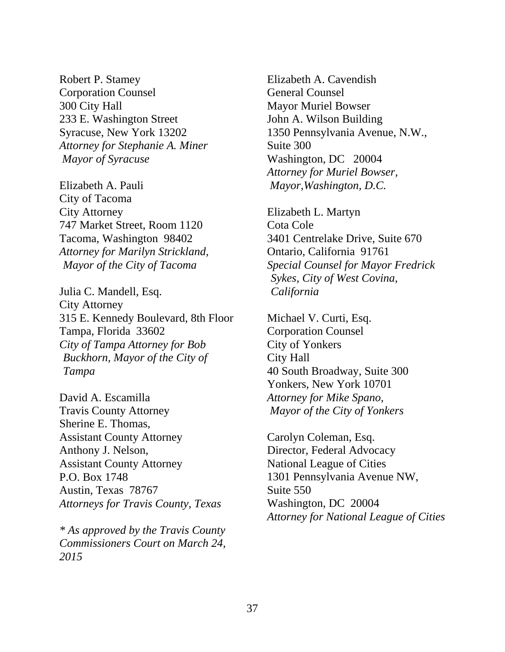Robert P. Stamey Corporation Counsel 300 City Hall 233 E. Washington Street Syracuse, New York 13202 *Attorney for Stephanie A. Miner Mayor of Syracuse*

Elizabeth A. Pauli City of Tacoma City Attorney 747 Market Street, Room 1120 Tacoma, Washington 98402 *Attorney for Marilyn Strickland, Mayor of the City of Tacoma* 

Julia C. Mandell, Esq. City Attorney 315 E. Kennedy Boulevard, 8th Floor Tampa, Florida 33602 *City of Tampa Attorney for Bob Buckhorn, Mayor of the City of Tampa* 

David A. Escamilla Travis County Attorney Sherine E. Thomas, Assistant County Attorney Anthony J. Nelson, Assistant County Attorney P.O. Box 1748 Austin, Texas 78767 *Attorneys for Travis County, Texas* 

*\* As approved by the Travis County Commissioners Court on March 24, 2015* 

Elizabeth A. Cavendish General Counsel Mayor Muriel Bowser John A. Wilson Building 1350 Pennsylvania Avenue, N.W., Suite 300 Washington, DC 20004 *Attorney for Muriel Bowser, Mayor,Washington, D.C.* 

Elizabeth L. Martyn Cota Cole 3401 Centrelake Drive, Suite 670 Ontario, California 91761 *Special Counsel for Mayor Fredrick Sykes, City of West Covina, California* 

Michael V. Curti, Esq. Corporation Counsel City of Yonkers City Hall 40 South Broadway, Suite 300 Yonkers, New York 10701 *Attorney for Mike Spano, Mayor of the City of Yonkers* 

Carolyn Coleman, Esq. Director, Federal Advocacy National League of Cities 1301 Pennsylvania Avenue NW, Suite 550 Washington, DC 20004 *Attorney for National League of Cities*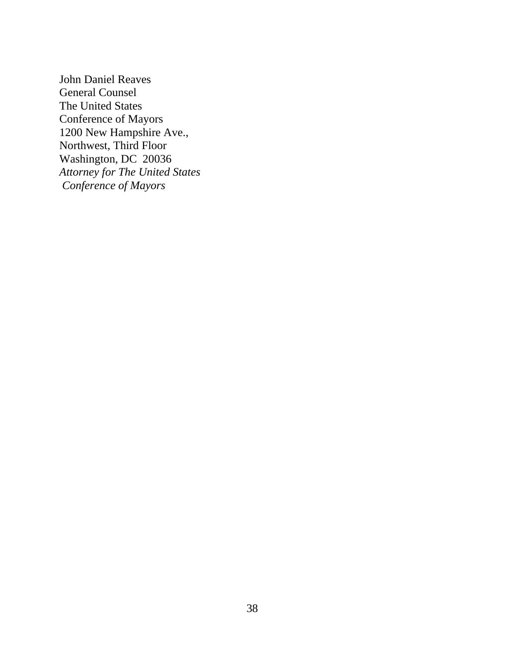John Daniel Reaves General Counsel The United States Conference of Mayors 1200 New Hampshire Ave., Northwest, Third Floor Washington, DC 20036 *Attorney for The United States Conference of Mayors*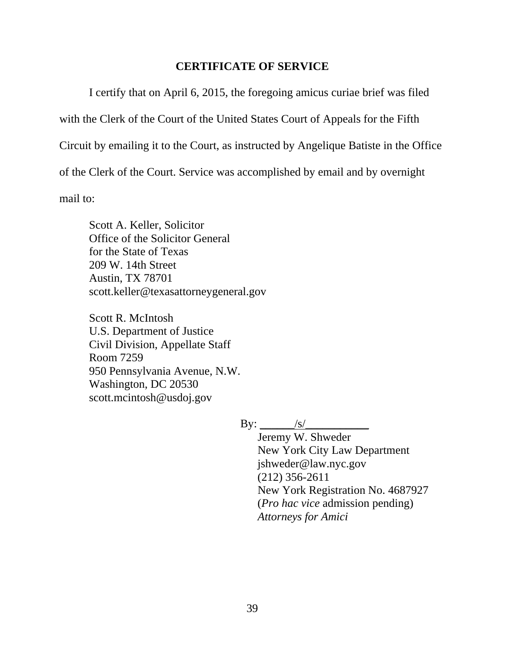#### **CERTIFICATE OF SERVICE**

I certify that on April 6, 2015, the foregoing amicus curiae brief was filed

with the Clerk of the Court of the United States Court of Appeals for the Fifth

Circuit by emailing it to the Court, as instructed by Angelique Batiste in the Office

of the Clerk of the Court. Service was accomplished by email and by overnight

mail to:

Scott A. Keller, Solicitor Office of the Solicitor General for the State of Texas 209 W. 14th Street Austin, TX 78701 scott.keller@texasattorneygeneral.gov

Scott R. McIntosh U.S. Department of Justice Civil Division, Appellate Staff Room 7259 950 Pennsylvania Avenue, N.W. Washington, DC 20530 scott.mcintosh@usdoj.gov

 $\text{By:}\_\_\_\_\/s/$ 

 Jeremy W. Shweder New York City Law Department jshweder@law.nyc.gov (212) 356-2611 New York Registration No. 4687927 (*Pro hac vice* admission pending) *Attorneys for Amici*